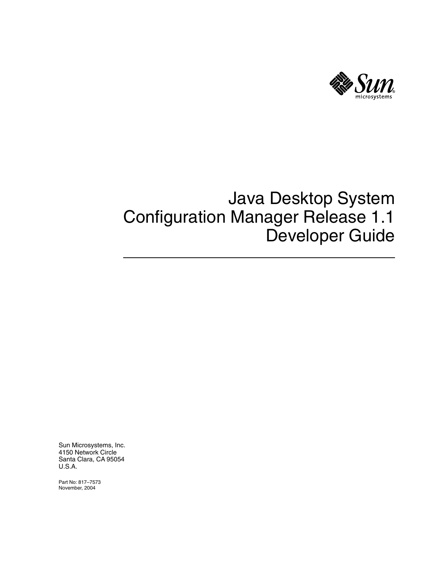

# Java Desktop System Configuration Manager Release 1.1 Developer Guide

Sun Microsystems, Inc. 4150 Network Circle Santa Clara, CA 95054 U.S.A.

Part No: 817–7573 November, 2004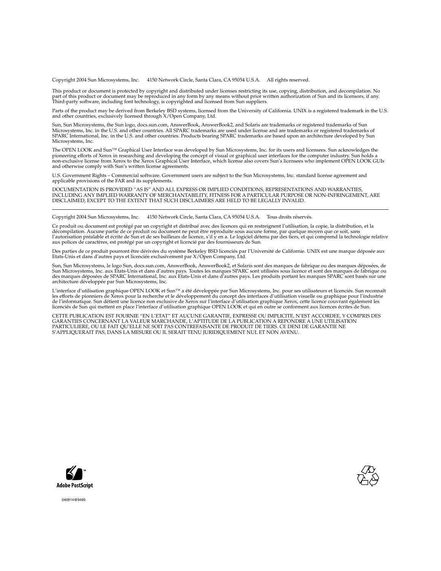Copyright 2004 Sun Microsystems, Inc. 4150 Network Circle, Santa Clara, CA 95054 U.S.A. All rights reserved.

This product or document is protected by copyright and distributed under licenses restricting its use, copying, distribution, and decompilation. No part of this product or document may be reproduced in any form by any means without prior written authorization of Sun and its licensors, if any.<br>Third-party software, including font technology, is copyrighted and licensed

Parts of the product may be derived from Berkeley BSD systems, licensed from the University of California. UNIX is a registered trademark in the U.S. and other countries, exclusively licensed through X/Open Company, Ltd.

Sun, Sun Microsystems, the Sun logo, docs.sun.com, AnswerBook, AnswerBook2, and Solaris are trademarks or registered trademarks of Sun<br>Microsystems, Inc. in the U.S. and other countries. All SPARC trademarks are used under Microsystems, Inc.

The OPEN LOOK and Sun™ Graphical User Interface was developed by Sun Microsystems, Inc. for its users and licensees. Sun acknowledges the pioneering efforts of Xerox in researching and developing the concept of visual or graphical user interfaces for the computer industry. Sun holds a<br>non-exclusive license from Xerox to the Xerox Graphical User Interface, wh and otherwise comply with Sun's written license agreements.

U.S. Government Rights – Commercial software. Government users are subject to the Sun Microsystems, Inc. standard license agreement and applicable provisions of the FAR and its supplements.

DOCUMENTATION IS PROVIDED "AS IS" AND ALL EXPRESS OR IMPLIED CONDITIONS, REPRESENTATIONS AND WARRANTIES,<br>INCLUDING ANY IMPLIED WARRANTY OF MERCHANTABILITY, FITNESS FOR A PARTICULAR PURPOSE OR NON-INFRINGEMENT, ARE<br>DISCLAIM

Copyright 2004 Sun Microsystems, Inc. 4150 Network Circle, Santa Clara, CA 95054 U.S.A. Tous droits réservés.

Ce produit ou document est protégé par un copyright et distribué avec des licences qui en restreignent l'utilisation, la copie, la distribution, et la décompilation. Aucune partie de ce produit ou document ne peut être reproduite sous aucune forme, par quelque moyen que ce soit, sans<br>l'autorisation préalable et écrite de Sun et de ses bailleurs de licence, s'il y en a. L

Des parties de ce produit pourront être dérivées du système Berkeley BSD licenciés par l'Université de Californie. UNIX est une marque déposée aux Etats-Unis et dans d'autres pays et licenciée exclusivement par X/Open Company, Ltd.

Sun, Sun Microsystems, le logo Sun, docs.sun.com, AnswerBook, AnswerBook2, et Solaris sont des marques de fabrique ou des marques déposées, de<br>Sun Microsystems, Inc. aux Etats-Unis et dans d'autres pays. Toutes les marques architecture développée par Sun Microsystems, Inc.

L'interface d'utilisation graphique OPEN LOOK et Sun™a été développée par Sun Microsystems, Inc. pour ses utilisateurs et licenciés. Sun reconnaît<br>les efforts de pionniers de Xerox pour la recherche et le développement du de l'informatique. Sun détient une licence non exclusive de Xerox sur l'interface d'utilisation graphique Xerox, cette licence couvrant également les<br>licenciés de Sun qui mettent en place l'interface d'utilisation graphiqu

CETTE PUBLICATION EST FOURNIE "EN L'ETAT" ET AUCUNE GARANTIE, EXPRESSE OU IMPLICITE, N'EST ACCORDEE, Y COMPRIS DES GARANTIES CONCERNANT LA VALEUR MARCHANDE, L'APTITUDE DE LA PUBLICATION A REPONDRE A UNE UTILISATION<br>PARTICULIERE, OU LE FAIT QU'ELLE NE SOIT PAS CONTREFAISANTE DE PRODUIT DE TIERS. CE DENI DE GARANTIE NE<br>S'APPLIQUERAIT PAS





040914@9495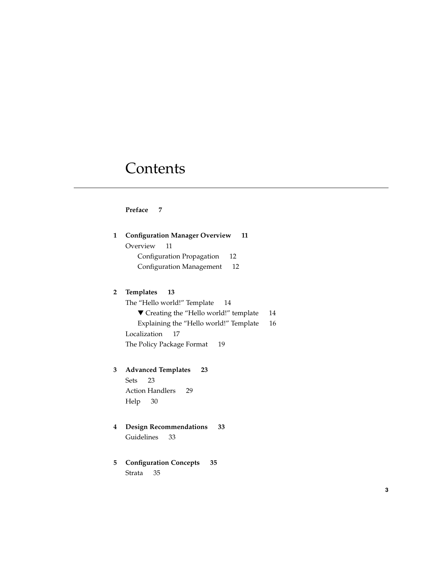# **Contents**

#### **[Preface 7](#page-6-0)**

| 1 | <b>Configuration Manager Overview</b><br>11 |    |
|---|---------------------------------------------|----|
|   | Overview<br>11                              |    |
|   | Configuration Propagation<br>12             |    |
|   | Configuration Management<br>12              |    |
| 2 | <b>Templates</b><br>13                      |    |
|   | The "Hello world!" Template<br>14           |    |
|   | ▼ Creating the "Hello world!" template      | 14 |
|   | Explaining the "Hello world!" Template      | 16 |
|   | Localization<br>17                          |    |
|   | The Policy Package Format<br>19             |    |
|   |                                             |    |
| 3 | <b>Advanced Templates</b><br>23             |    |
|   | Sets<br>23                                  |    |
|   | Action Handlers<br>29                       |    |
|   | Help 30                                     |    |
|   |                                             |    |
| 4 | <b>Design Recommendations</b><br>33         |    |
|   | Guidelines<br>33                            |    |
|   |                                             |    |
|   |                                             |    |

**[5 Configuration Concepts 35](#page-34-0)** [Strata 35](#page-34-0)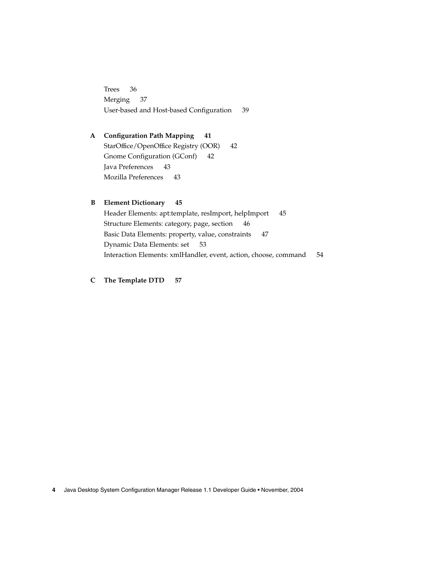[Trees 36](#page-35-0) [Merging 37](#page-36-0) [User-based and Host-based Configuration 39](#page-38-0)

#### **[A Configuration Path Mapping 41](#page-40-0)**

[StarOffice/OpenOffice Registry \(OOR\) 42](#page-41-0) [Gnome Configuration \(GConf\) 42](#page-41-0) [Java Preferences 43](#page-42-0) [Mozilla Preferences 43](#page-42-0)

#### **[B Element Dictionary 45](#page-44-0)**

[Header Elements: apt:template, resImport, helpImport 45](#page-44-0) [Structure Elements: category, page, section 46](#page-45-0) [Basic Data Elements: property, value, constraints 47](#page-46-0) [Dynamic Data Elements: set 53](#page-52-0) [Interaction Elements: xmlHandler, event, action, choose, command 54](#page-53-0)

**[C The Template DTD 57](#page-56-0)**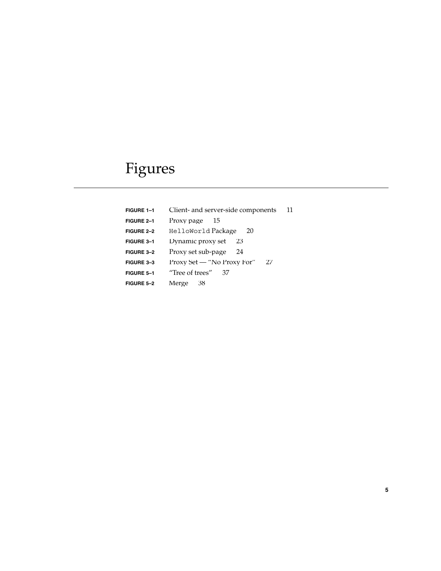# Figures

| FIGURE 1-1 | Client- and server-side components | 11 |
|------------|------------------------------------|----|
| FIGURE 2-1 | Proxy page<br>15                   |    |
| FIGURE 2-2 | HelloWorld Package<br>20           |    |
| FIGURE 3-1 | Dynamic proxy set<br>23            |    |
| FIGURE 3-2 | Proxy set sub-page<br>24           |    |
| FIGURE 3-3 | Proxy Set — "No Proxy For"<br>27   |    |
| FIGURE 5-1 | "Tree of trees"<br>37              |    |
| FIGURE 5-2 | Merge<br>38                        |    |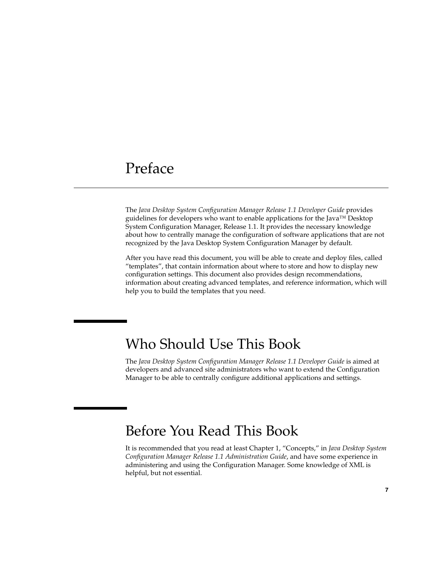## <span id="page-6-0"></span>Preface

The *Java Desktop System Configuration Manager Release 1.1 Developer Guide* provides guidelines for developers who want to enable applications for the Java™ Desktop System Configuration Manager, Release 1.1. It provides the necessary knowledge about how to centrally manage the configuration of software applications that are not recognized by the Java Desktop System Configuration Manager by default.

After you have read this document, you will be able to create and deploy files, called "templates", that contain information about where to store and how to display new configuration settings. This document also provides design recommendations, information about creating advanced templates, and reference information, which will help you to build the templates that you need.

## Who Should Use This Book

The *Java Desktop System Configuration Manager Release 1.1 Developer Guide* is aimed at developers and advanced site administrators who want to extend the Configuration Manager to be able to centrally configure additional applications and settings.

## Before You Read This Book

It is recommended that you read at least Chapter 1, "Concepts," in *Java Desktop System Configuration Manager Release 1.1 Administration Guide*, and have some experience in administering and using the Configuration Manager. Some knowledge of XML is helpful, but not essential.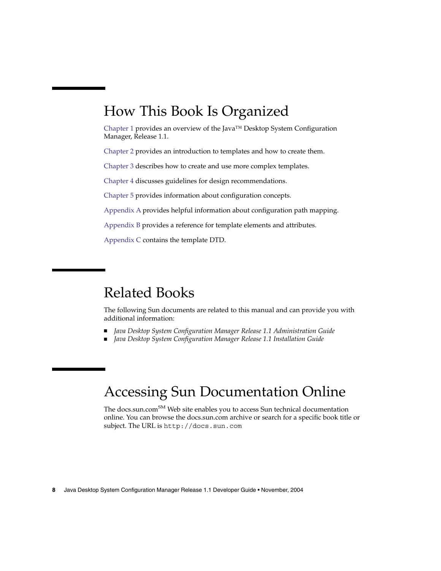## How This Book Is Organized

[Chapter 1](#page-10-0) provides an overview of the Java™ Desktop System Configuration Manager, Release 1.1.

[Chapter 2](#page-12-0) provides an introduction to templates and how to create them.

[Chapter 3](#page-22-0) describes how to create and use more complex templates.

[Chapter 4](#page-32-0) discusses guidelines for design recommendations.

[Chapter 5](#page-34-0) provides information about configuration concepts.

[Appendix A](#page-40-0) provides helpful information about configuration path mapping.

[Appendix B](#page-44-0) provides a reference for template elements and attributes.

[Appendix C](#page-56-0) contains the template DTD.

## Related Books

The following Sun documents are related to this manual and can provide you with additional information:

- *Java Desktop System Configuration Manager Release 1.1 Administration Guide*
- *Java Desktop System Configuration Manager Release 1.1 Installation Guide*

## Accessing Sun Documentation Online

The docs.sun.com<sup>SM</sup> Web site enables you to access Sun technical documentation online. You can browse the docs.sun.com archive or search for a specific book title or subject. The URL is <http://docs.sun.com>.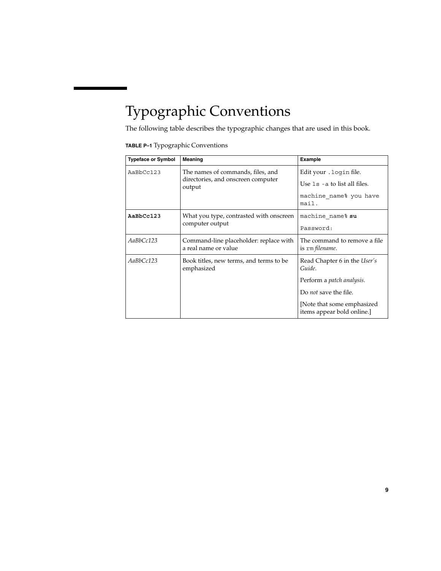# Typographic Conventions

The following table describes the typographic changes that are used in this book.

|  | <b>TABLE P–1</b> Typographic Conventions |  |  |
|--|------------------------------------------|--|--|
|--|------------------------------------------|--|--|

| <b>Typeface or Symbol</b> | <b>Meaning</b>                                                                    | Example                                                                                       |
|---------------------------|-----------------------------------------------------------------------------------|-----------------------------------------------------------------------------------------------|
| AaBbCc123                 | The names of commands, files, and<br>directories, and onscreen computer<br>output | Edit your . login file.<br>Use $1s$ - a to list all files.<br>machine name% you have<br>mail. |
| AaBbCc123                 | What you type, contrasted with onscreen<br>computer output                        | machine name% su<br>Password:                                                                 |
| AaBbCc123                 | Command-line placeholder: replace with<br>a real name or value                    | The command to remove a file<br>is rm filename.                                               |
| AaBbCc123                 | Book titles, new terms, and terms to be<br>emphasized                             | Read Chapter 6 in the User's<br>Guide.                                                        |
|                           |                                                                                   | Perform a <i>patch analysis</i> .                                                             |
|                           |                                                                                   | Do <i>not</i> save the file.                                                                  |
|                           |                                                                                   | [Note that some emphasized]<br>items appear bold online.]                                     |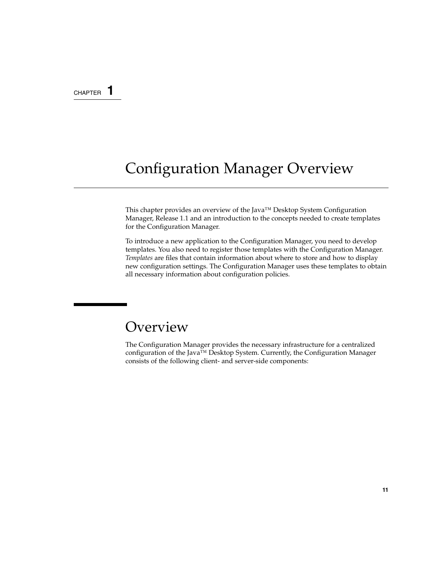### <span id="page-10-0"></span>CHAPTER **1**

# Configuration Manager Overview

This chapter provides an overview of the Java™ Desktop System Configuration Manager, Release 1.1 and an introduction to the concepts needed to create templates for the Configuration Manager.

To introduce a new application to the Configuration Manager, you need to develop templates. You also need to register those templates with the Configuration Manager. *Templates* are files that contain information about where to store and how to display new configuration settings. The Configuration Manager uses these templates to obtain all necessary information about configuration policies.

## **Overview**

The Configuration Manager provides the necessary infrastructure for a centralized configuration of the Java™ Desktop System. Currently, the Configuration Manager consists of the following client- and server-side components: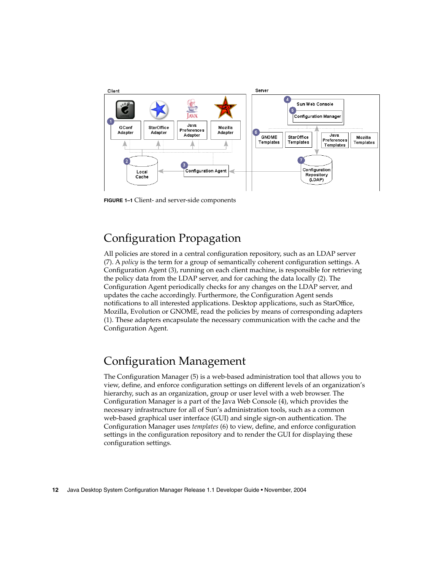<span id="page-11-0"></span>

**FIGURE 1–1** Client- and server-side components

## Configuration Propagation

All policies are stored in a central configuration repository, such as an LDAP server (7). A *policy* is the term for a group of semantically coherent configuration settings. A Configuration Agent (3), running on each client machine, is responsible for retrieving the policy data from the LDAP server, and for caching the data locally (2). The Configuration Agent periodically checks for any changes on the LDAP server, and updates the cache accordingly. Furthermore, the Configuration Agent sends notifications to all interested applications. Desktop applications, such as StarOffice, Mozilla, Evolution or GNOME, read the policies by means of corresponding adapters (1). These adapters encapsulate the necessary communication with the cache and the Configuration Agent.

### Configuration Management

The Configuration Manager (5) is a web-based administration tool that allows you to view, define, and enforce configuration settings on different levels of an organization's hierarchy, such as an organization, group or user level with a web browser. The Configuration Manager is a part of the Java Web Console (4), which provides the necessary infrastructure for all of Sun's administration tools, such as a common web-based graphical user interface (GUI) and single sign-on authentication. The Configuration Manager uses *templates* (6) to view, define, and enforce configuration settings in the configuration repository and to render the GUI for displaying these configuration settings.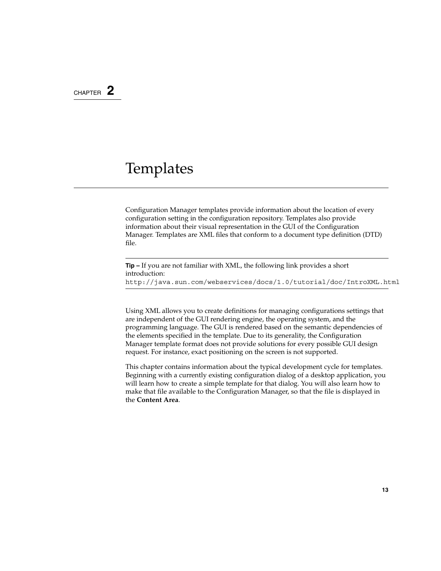### <span id="page-12-0"></span>CHAPTER **2**

## Templates

Configuration Manager templates provide information about the location of every configuration setting in the configuration repository. Templates also provide information about their visual representation in the GUI of the Configuration Manager. Templates are XML files that conform to a document type definition (DTD) file.

**Tip –** If you are not familiar with XML, the following link provides a short introduction:

<http://java.sun.com/webservices/docs/1.0/tutorial/doc/IntroXML.html>

Using XML allows you to create definitions for managing configurations settings that are independent of the GUI rendering engine, the operating system, and the programming language. The GUI is rendered based on the semantic dependencies of the elements specified in the template. Due to its generality, the Configuration Manager template format does not provide solutions for every possible GUI design request. For instance, exact positioning on the screen is not supported.

This chapter contains information about the typical development cycle for templates. Beginning with a currently existing configuration dialog of a desktop application, you will learn how to create a simple template for that dialog. You will also learn how to make that file available to the Configuration Manager, so that the file is displayed in the **Content Area**.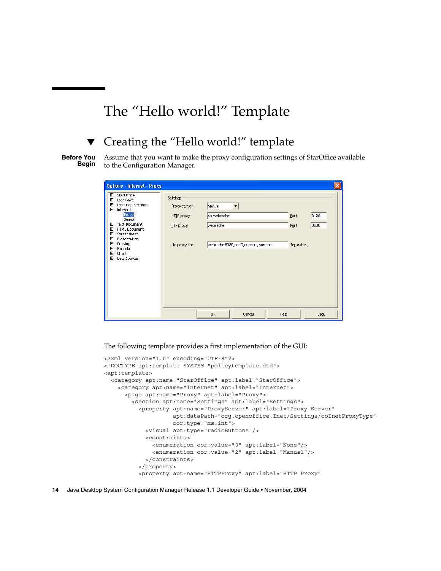## <span id="page-13-0"></span>The "Hello world!" Template

### ▼ Creating the "Hello world!" template

**Before You Begin**

Assume that you want to make the proxy configuration settings of StarOffice available to the Configuration Manager.

| <b>Options - Internet - Proxy</b>                                                                        |                          |                                     |             | ×           |
|----------------------------------------------------------------------------------------------------------|--------------------------|-------------------------------------|-------------|-------------|
| 田<br>Star Office<br>田<br>Load/Save<br>Language Settings<br>⊞<br>Θ<br><b>Internet</b>                     | Settings<br>Proxy server | Manual<br>▼                         |             |             |
| Proxyl<br>Search                                                                                         | HTIP proxy               | so-webcache                         | Port        | 3128        |
| <b>Text Document</b><br>田<br>田<br><b>HTML Document</b>                                                   | ETP proxy                | webcache                            | Port        | 8080        |
| 田<br>Spreadsheet<br>Presentation<br>⊞<br>⊞<br>Drawing<br>田<br>Formula<br>田<br>Chart<br>田<br>Data Sources | No proxy for:            | webcache:8080;pool2;germany.sun.com | Separator ; |             |
|                                                                                                          |                          | 0K<br>Cancel                        | Help        | <b>Back</b> |

The following template provides a first implementation of the GUI:

```
<?xml version="1.0" encoding="UTF-8"?>
<!DOCTYPE apt:template SYSTEM "policytemplate.dtd">
<apt:template>
 <category apt:name="StarOffice" apt:label="StarOffice">
   <category apt:name="Internet" apt:label="Internet">
      <page apt:name="Proxy" apt:label="Proxy">
       <section apt:name="Settings" apt:label="Settings">
          <property apt:name="ProxyServer" apt:label="Proxy Server"
                   apt:dataPath="org.openoffice.Inet/Settings/ooInetProxyType"
                   oor:type="xs:int">
            <visual apt:type="radioButtons"/>
            <constraints>
              <enumeration oor:value="0" apt:label="None"/>
             <enumeration oor:value="2" apt:label="Manual"/>
           </constraints>
          </property>
          <property apt:name="HTTPProxy" apt:label="HTTP Proxy"
```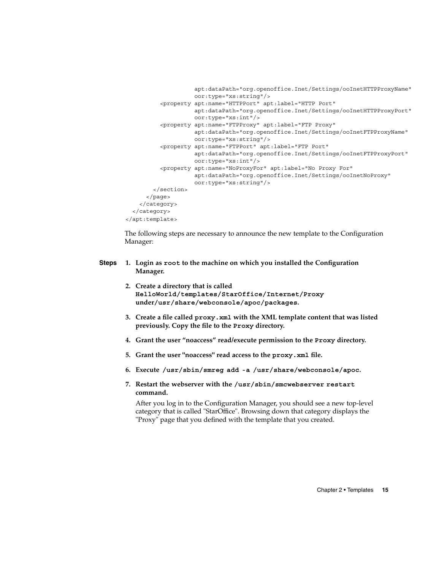```
apt:dataPath="org.openoffice.Inet/Settings/ooInetHTTPProxyName"
                   oor:type="xs:string"/>
          <property apt:name="HTTPPort" apt:label="HTTP Port"
                   apt:dataPath="org.openoffice.Inet/Settings/ooInetHTTPProxyPort"
                   oor:type="xs:int"/>
          <property apt:name="FTPProxy" apt:label="FTP Proxy"
                   apt:dataPath="org.openoffice.Inet/Settings/ooInetFTPProxyName"
                   oor:type="xs:string"/>
          <property apt:name="FTPPort" apt:label="FTP Port"
                   apt:dataPath="org.openoffice.Inet/Settings/ooInetFTPProxyPort"
                   oor:type="xs:int"/>
          <property apt:name="NoProxyFor" apt:label="No Proxy For"
                   apt:dataPath="org.openoffice.Inet/Settings/ooInetNoProxy"
                   oor:type="xs:string"/>
        </section>
     </page>
   </category>
  </category>
</apt:template>
```
The following steps are necessary to announce the new template to the Configuration Manager:

- **1. Login as root to the machine on which you installed the Configuration Manager. Steps**
	- **2. Create a directory that is called HelloWorld/templates/StarOffice/Internet/Proxy under/usr/share/webconsole/apoc/packages.**
	- **3. Create a file called proxy.xml with the XML template content that was listed previously. Copy the file to the Proxy directory.**
	- **4. Grant the user "noaccess" read/execute permission to the Proxy directory.**
	- **5. Grant the user "noaccess" read access to the proxy.xml file.**
	- **6. Execute /usr/sbin/smreg add -a /usr/share/webconsole/apoc.**
	- **7. Restart the webserver with the /usr/sbin/smcwebserver restart command.**

After you log in to the Configuration Manager, you should see a new top-level category that is called "StarOffice". Browsing down that category displays the "Proxy" page that you defined with the template that you created.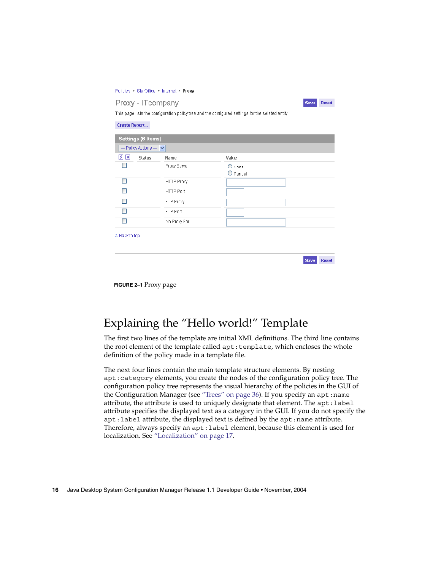<span id="page-15-0"></span>

| Policies > StarOffice > Internet > Proxy |  |  |  |  |  |  |  |  |
|------------------------------------------|--|--|--|--|--|--|--|--|
|------------------------------------------|--|--|--|--|--|--|--|--|

| Create Report             |              | This page lists the configuration policy tree and the configured settings for the seleted entity. |  |
|---------------------------|--------------|---------------------------------------------------------------------------------------------------|--|
| <b>Settings (6 Items)</b> |              |                                                                                                   |  |
| - Policy Actions - V      |              |                                                                                                   |  |
| 2 国<br><b>Status</b>      | Name         | Value                                                                                             |  |
|                           | Proxy Server | $O$ None<br>O Manual                                                                              |  |
| H                         | HTTP Proxy   |                                                                                                   |  |
|                           | HTTP Port    |                                                                                                   |  |
|                           | FTP Proxy    |                                                                                                   |  |
|                           | FTP Port     |                                                                                                   |  |
|                           | No Proxy For |                                                                                                   |  |
|                           |              |                                                                                                   |  |
| ≿ Back to top             |              |                                                                                                   |  |
|                           |              |                                                                                                   |  |

**FIGURE 2–1** Proxy page

### Explaining the "Hello world!" Template

The first two lines of the template are initial XML definitions. The third line contains the root element of the template called apt: template, which encloses the whole definition of the policy made in a template file.

The next four lines contain the main template structure elements. By nesting apt:category elements, you create the nodes of the configuration policy tree. The configuration policy tree represents the visual hierarchy of the policies in the GUI of the Configuration Manager (see "Trees" [on page 36\)](#page-35-0). If you specify an apt: name attribute, the attribute is used to uniquely designate that element. The  $apt:label$ attribute specifies the displayed text as a category in the GUI. If you do not specify the apt:label attribute, the displayed text is defined by the apt:name attribute. Therefore, always specify an apt:label element, because this element is used for localization. See ["Localization"](#page-16-0) on page 17.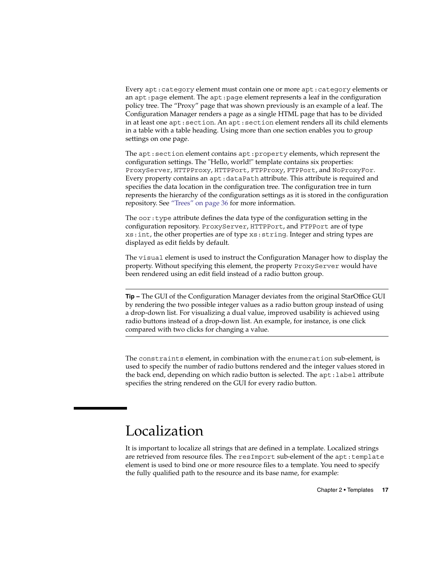<span id="page-16-0"></span>Every apt:category element must contain one or more apt:category elements or an  $apt:page$  element. The  $apt:page$  element represents a leaf in the configuration policy tree. The "Proxy" page that was shown previously is an example of a leaf. The Configuration Manager renders a page as a single HTML page that has to be divided in at least one apt:section. An apt:section element renders all its child elements in a table with a table heading. Using more than one section enables you to group settings on one page.

The apt: section element contains apt: property elements, which represent the configuration settings. The "Hello, world!" template contains six properties: ProxyServer, HTTPProxy, HTTPPort, FTPProxy, FTPPort, and NoProxyFor. Every property contains an apt:dataPath attribute. This attribute is required and specifies the data location in the configuration tree. The configuration tree in turn represents the hierarchy of the configuration settings as it is stored in the configuration repository. See "Trees" [on page 36](#page-35-0) for more information.

The oor: type attribute defines the data type of the configuration setting in the configuration repository. ProxyServer, HTTPPort, and FTPPort are of type xs:int, the other properties are of type xs:string. Integer and string types are displayed as edit fields by default.

The visual element is used to instruct the Configuration Manager how to display the property. Without specifying this element, the property ProxyServer would have been rendered using an edit field instead of a radio button group.

**Tip –** The GUI of the Configuration Manager deviates from the original StarOffice GUI by rendering the two possible integer values as a radio button group instead of using a drop-down list. For visualizing a dual value, improved usability is achieved using radio buttons instead of a drop-down list. An example, for instance, is one click compared with two clicks for changing a value.

The constraints element, in combination with the enumeration sub-element, is used to specify the number of radio buttons rendered and the integer values stored in the back end, depending on which radio button is selected. The apt: label attribute specifies the string rendered on the GUI for every radio button.

## Localization

It is important to localize all strings that are defined in a template. Localized strings are retrieved from resource files. The resImport sub-element of the apt: template element is used to bind one or more resource files to a template. You need to specify the fully qualified path to the resource and its base name, for example: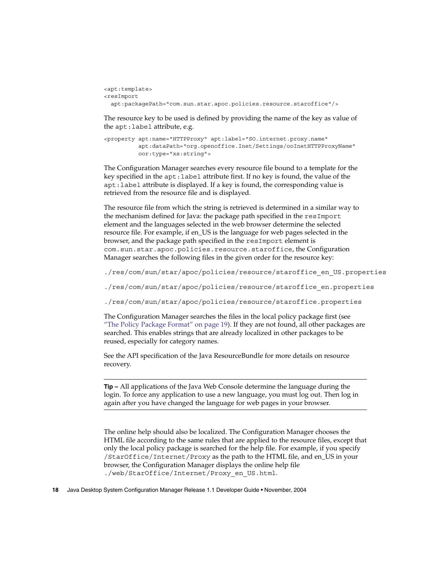```
<apt:template>
<resImport
 apt:packagePath="com.sun.star.apoc.policies.resource.staroffice"/>
```
The resource key to be used is defined by providing the name of the key as value of the apt:label attribute, e.g.

```
<property apt:name="HTTPProxy" apt:label="SO.internet.proxy.name"
         apt:dataPath="org.openoffice.Inet/Settings/ooInetHTTPProxyName"
         oor:type="xs:string">
```
The Configuration Manager searches every resource file bound to a template for the key specified in the apt:label attribute first. If no key is found, the value of the apt:label attribute is displayed. If a key is found, the corresponding value is retrieved from the resource file and is displayed.

The resource file from which the string is retrieved is determined in a similar way to the mechanism defined for Java: the package path specified in the resImport element and the languages selected in the web browser determine the selected resource file. For example, if en\_US is the language for web pages selected in the browser, and the package path specified in the resImport element is com.sun.star.apoc.policies.resource.staroffice, the Configuration Manager searches the following files in the given order for the resource key:

./res/com/sun/star/apoc/policies/resource/staroffice\_en\_US.properties

./res/com/sun/star/apoc/policies/resource/staroffice\_en.properties

./res/com/sun/star/apoc/policies/resource/staroffice.properties

The Configuration Manager searches the files in the local policy package first (see ["The Policy Package Format"](#page-18-0) on page 19). If they are not found, all other packages are searched. This enables strings that are already localized in other packages to be reused, especially for category names.

See the [API specification of the Java ResourceBundle](http://java.sun.com/j2se/1.5.0/docs/api/java/util/PropertyResourceBundle.html) for more details on resource recovery.

**Tip –** All applications of the Java Web Console determine the language during the login. To force any application to use a new language, you must log out. Then log in again after you have changed the language for web pages in your browser.

The online help should also be localized. The Configuration Manager chooses the HTML file according to the same rules that are applied to the resource files, except that only the local policy package is searched for the help file. For example, if you specify /StarOffice/Internet/Proxy as the path to the HTML file, and en\_US in your browser, the Configuration Manager displays the online help file ./web/StarOffice/Internet/Proxy\_en\_US.html.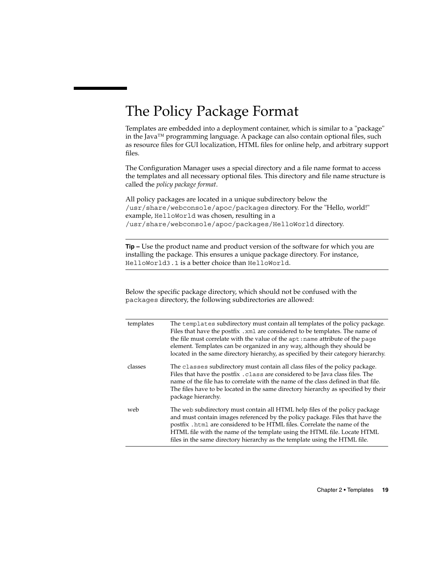## <span id="page-18-0"></span>The Policy Package Format

Templates are embedded into a deployment container, which is similar to a "package" in the Java™ programming language. A package can also contain optional files, such as resource files for GUI localization, HTML files for online help, and arbitrary support files.

The Configuration Manager uses a special directory and a file name format to access the templates and all necessary optional files. This directory and file name structure is called the *policy package format*.

All policy packages are located in a unique subdirectory below the /usr/share/webconsole/apoc/packages directory. For the "Hello, world!" example, HelloWorld was chosen, resulting in a /usr/share/webconsole/apoc/packages/HelloWorld directory.

**Tip –** Use the product name and product version of the software for which you are installing the package. This ensures a unique package directory. For instance, HelloWorld3.1 is a better choice than HelloWorld.

Below the specific package directory, which should not be confused with the packages directory, the following subdirectories are allowed:

| templates | The templates subdirectory must contain all templates of the policy package.<br>Files that have the postfix . xml are considered to be templates. The name of<br>the file must correlate with the value of the apt : name attribute of the page<br>element. Templates can be organized in any way, although they should be<br>located in the same directory hierarchy, as specified by their category hierarchy. |
|-----------|------------------------------------------------------------------------------------------------------------------------------------------------------------------------------------------------------------------------------------------------------------------------------------------------------------------------------------------------------------------------------------------------------------------|
| classes   | The classes subdirectory must contain all class files of the policy package.<br>Files that have the postfix . class are considered to be Java class files. The<br>name of the file has to correlate with the name of the class defined in that file.<br>The files have to be located in the same directory hierarchy as specified by their<br>package hierarchy.                                                 |
| web       | The web subdirectory must contain all HTML help files of the policy package<br>and must contain images referenced by the policy package. Files that have the<br>postfix.html are considered to be HTML files. Correlate the name of the<br>HTML file with the name of the template using the HTML file. Locate HTML<br>files in the same directory hierarchy as the template using the HTML file.                |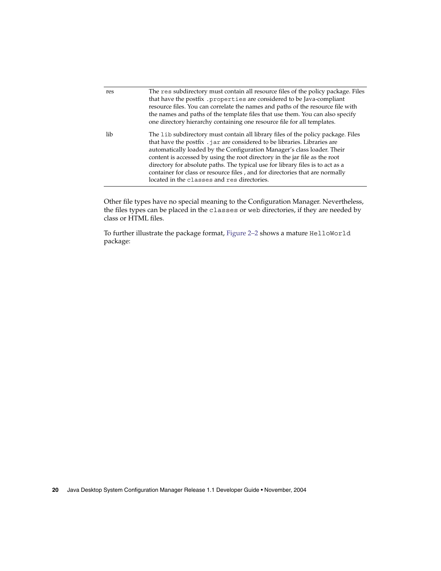<span id="page-19-0"></span>

| res | The res subdirectory must contain all resource files of the policy package. Files<br>that have the postfix . properties are considered to be Java-compliant<br>resource files. You can correlate the names and paths of the resource file with<br>the names and paths of the template files that use them. You can also specify<br>one directory hierarchy containing one resource file for all templates.                                                                                                                               |
|-----|------------------------------------------------------------------------------------------------------------------------------------------------------------------------------------------------------------------------------------------------------------------------------------------------------------------------------------------------------------------------------------------------------------------------------------------------------------------------------------------------------------------------------------------|
| lib | The lib subdirectory must contain all library files of the policy package. Files<br>that have the postfix . jar are considered to be libraries. Libraries are<br>automatically loaded by the Configuration Manager's class loader. Their<br>content is accessed by using the root directory in the jar file as the root<br>directory for absolute paths. The typical use for library files is to act as a<br>container for class or resource files, and for directories that are normally<br>located in the classes and res directories. |

Other file types have no special meaning to the Configuration Manager. Nevertheless, the files types can be placed in the classes or web directories, if they are needed by class or HTML files.

To further illustrate the package format, Figure 2–2 shows a mature HelloWorld package: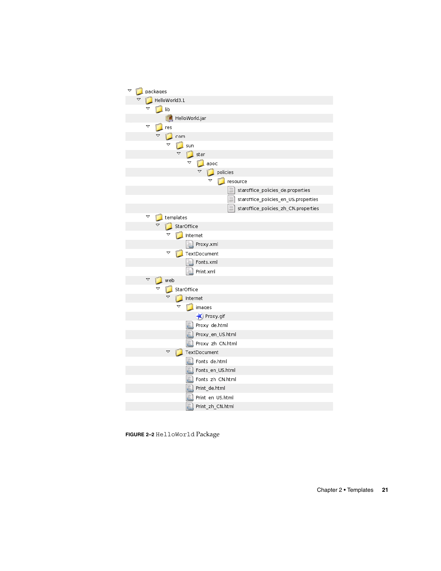

**FIGURE 2–2** HelloWorld Package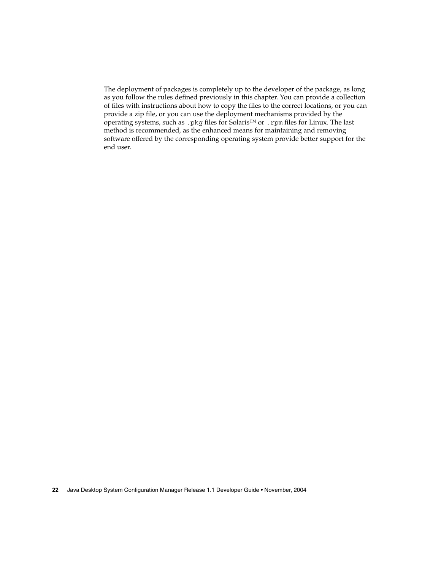The deployment of packages is completely up to the developer of the package, as long as you follow the rules defined previously in this chapter. You can provide a collection of files with instructions about how to copy the files to the correct locations, or you can provide a zip file, or you can use the deployment mechanisms provided by the operating systems, such as .pkg files for Solaris™ or .rpm files for Linux. The last method is recommended, as the enhanced means for maintaining and removing software offered by the corresponding operating system provide better support for the end user.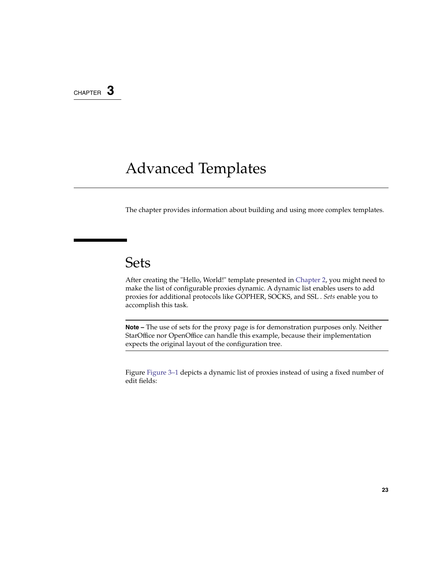### <span id="page-22-0"></span>CHAPTER **3**

## Advanced Templates

The chapter provides information about building and using more complex templates.

### Sets

After creating the "Hello, World!" template presented in [Chapter 2,](#page-12-0) you might need to make the list of configurable proxies dynamic. A dynamic list enables users to add proxies for additional protocols like GOPHER, SOCKS, and SSL . *Sets* enable you to accomplish this task.

**Note –** The use of sets for the proxy page is for demonstration purposes only. Neither StarOffice nor OpenOffice can handle this example, because their implementation expects the original layout of the configuration tree.

Figure Figure 3–1 depicts a dynamic list of proxies instead of using a fixed number of edit fields: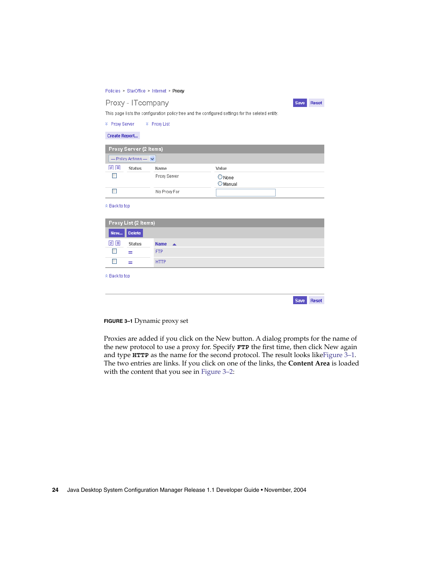#### <span id="page-23-0"></span>Policies > StarOffice > Internet > Proxy

|                | Proxy - ITcompany      |                  | Save                                                                                              | <b>Reset</b> |
|----------------|------------------------|------------------|---------------------------------------------------------------------------------------------------|--------------|
|                |                        |                  | This page lists the configuration policy tree and the configured settings for the seleted entity. |              |
| ≥ Proxy Server |                        | ≥ Proxy List     |                                                                                                   |              |
| Create Report  |                        |                  |                                                                                                   |              |
|                | Proxy Server (2 Items) |                  |                                                                                                   |              |
|                | - Policy Actions - V   |                  |                                                                                                   |              |
| 图              | <b>Status</b>          | Name             | Value                                                                                             |              |
|                |                        | Proxy Server     | $O$ None<br>O Manual                                                                              |              |
|                |                        | No Proxy For     |                                                                                                   |              |
| ≿ Back to top  | Proxy List (2 Items)   |                  |                                                                                                   |              |
| New            | <b>Delete</b>          |                  |                                                                                                   |              |
| 2 日            | <b>Status</b>          | <b>Name</b><br>▲ |                                                                                                   |              |
|                | =                      | <b>FTP</b>       |                                                                                                   |              |
| п              | =                      | <b>HTTP</b>      |                                                                                                   |              |
| ≿ Back to top  |                        |                  |                                                                                                   |              |
|                |                        |                  | Save                                                                                              | <b>Reset</b> |

**FIGURE 3–1** Dynamic proxy set

Proxies are added if you click on the New button. A dialog prompts for the name of the new protocol to use a proxy for. Specify **FTP** the first time, then click New again and type **HTTP** as the name for the second protocol. The result looks lik[eFigure 3–1.](#page-22-0) The two entries are links. If you click on one of the links, the **Content Area** is loaded with the content that you see in Figure 3–2: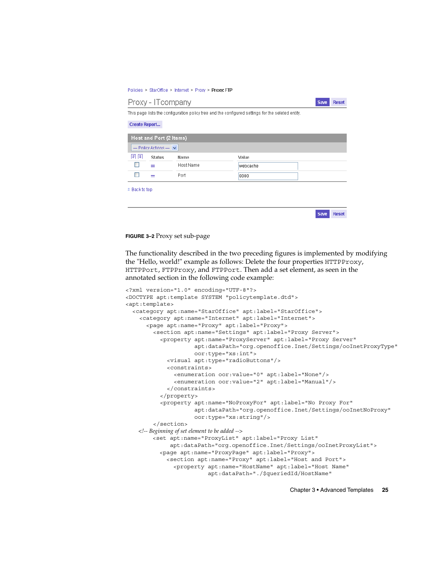Policies > StarOffice > Internet > Proxy > Proxy: FTP

| Proxy - ITcompany    | Save                       | <b>Reset</b> |                                                                                                   |      |              |
|----------------------|----------------------------|--------------|---------------------------------------------------------------------------------------------------|------|--------------|
|                      |                            |              | This page lists the configuration policy tree and the configured settings for the seleted entity. |      |              |
| <b>Create Report</b> |                            |              |                                                                                                   |      |              |
|                      | Host and Port (2 Items)    |              |                                                                                                   |      |              |
|                      | $-$ Policy Actions $ \vee$ |              |                                                                                                   |      |              |
| 图图                   | <b>Status</b>              | Name         | Value                                                                                             |      |              |
|                      | $=$                        | Host Name    | webcache                                                                                          |      |              |
|                      | =                          | Port         | 8080                                                                                              |      |              |
| ≿ Back to top        |                            |              |                                                                                                   | Save | <b>Reset</b> |

**FIGURE 3–2** Proxy set sub-page

The functionality described in the two preceding figures is implemented by modifying the "Hello, world!" example as follows: Delete the four properties HTTPProxy, HTTPPort, FTPProxy, and FTPPort. Then add a set element, as seen in the annotated section in the following code example:

```
<?xml version="1.0" encoding="UTF-8"?>
<DOCTYPE apt:template SYSTEM "policytemplate.dtd">
<apt:template>
  <category apt:name="StarOffice" apt:label="StarOffice">
    <category apt:name="Internet" apt:label="Internet">
      <page apt:name="Proxy" apt:label="Proxy">
        <section apt:name="Settings" apt:label="Proxy Server">
          <property apt:name="ProxyServer" apt:label="Proxy Server"
                    apt:dataPath="org.openoffice.Inet/Settings/ooInetProxyType"
                    oor:type="xs:int">
            <visual apt:type="radioButtons"/>
            <constraints>
              <enumeration oor:value="0" apt:label="None"/>
              <enumeration oor:value="2" apt:label="Manual"/>
            </constraints>
          </property>
          <property apt:name="NoProxyFor" apt:label="No Proxy For"
                    apt:dataPath="org.openoffice.Inet/Settings/ooInetNoProxy"
                    oor:type="xs:string"/>
        </section>
    <!-- Beginning of set element to be added -->
        <set apt:name="ProxyList" apt:label="Proxy List"
             apt:dataPath="org.openoffice.Inet/Settings/ooInetProxyList">
          <page apt:name="ProxyPage" apt:label="Proxy">
            <section apt:name="Proxy" apt:label="Host and Port">
              <property apt:name="HostName" apt:label="Host Name"
                        apt:dataPath="./$queriedId/HostName"
```
The Co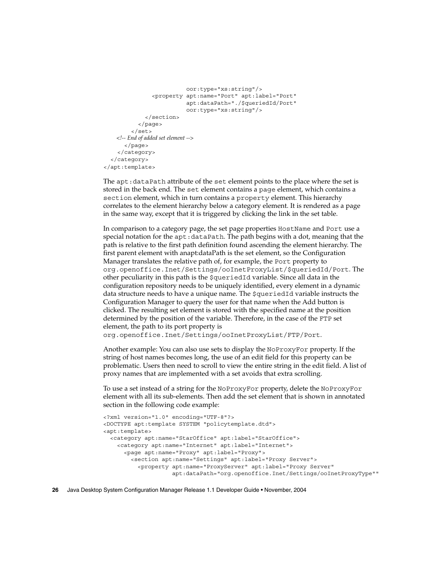```
oor:type="xs:string"/>
               <property apt:name="Port" apt:label="Port"
                         apt:dataPath="./$queriedId/Port"
                         oor:type="xs:string"/>
            </section>
          </page>
        </set>
   <!-- End of added set element -->
      </page>
    </category>
  </category>
</apt:template>
```
The apt:dataPath attribute of the set element points to the place where the set is stored in the back end. The set element contains a page element, which contains a section element, which in turn contains a property element. This hierarchy correlates to the element hierarchy below a category element. It is rendered as a page in the same way, except that it is triggered by clicking the link in the set table.

In comparison to a category page, the set page properties HostName and Port use a special notation for the apt:dataPath. The path begins with a dot, meaning that the path is relative to the first path definition found ascending the element hierarchy. The first parent element with anapt:dataPath is the set element, so the Configuration Manager translates the relative path of, for example, the Port property to org.openoffice.Inet/Settings/ooInetProxyList/\$queriedId/Port. The other peculiarity in this path is the \$queriedId variable. Since all data in the configuration repository needs to be uniquely identified, every element in a dynamic data structure needs to have a unique name. The \$queriedId variable instructs the Configuration Manager to query the user for that name when the Add button is clicked. The resulting set element is stored with the specified name at the position determined by the position of the variable. Therefore, in the case of the FTP set element, the path to its port property is

org.openoffice.Inet/Settings/ooInetProxyList/FTP/Port.

Another example: You can also use sets to display the NoProxyFor property. If the string of host names becomes long, the use of an edit field for this property can be problematic. Users then need to scroll to view the entire string in the edit field. A list of proxy names that are implemented with a set avoids that extra scrolling.

To use a set instead of a string for the NoProxyFor property, delete the NoProxyFor element with all its sub-elements. Then add the set element that is shown in annotated section in the following code example:

```
<?xml version="1.0" encoding="UTF-8"?>
<DOCTYPE apt:template SYSTEM "policytemplate.dtd">
<apt:template>
  <category apt:name="StarOffice" apt:label="StarOffice">
    <category apt:name="Internet" apt:label="Internet">
      <page apt:name="Proxy" apt:label="Proxy">
        <section apt:name="Settings" apt:label="Proxy Server">
          <property apt:name="ProxyServer" apt:label="Proxy Server"
                    apt:dataPath="org.openoffice.Inet/Settings/ooInetProxyType""
```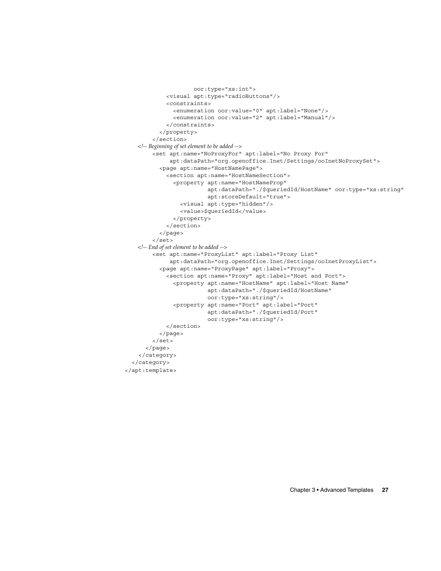```
oor:type="xs:int">
            <visual apt:type="radioButtons"/>
            <constraints>
              <enumeration oor:value="0" apt:label="None"/>
              <enumeration oor:value="2" apt:label="Manual"/>
            </constraints>
          </property>
        </section>
   <!-- Beginning of set element to be added -->
        <set apt:name="NoProxyFor" apt:label="No Proxy For"
             apt:dataPath="org.openoffice.Inet/Settings/ooInetNoProxySet">
          <page apt:name="HostNamePage">
            <section apt:name="HostNameSection">
              <property apt:name="HostNameProp"
                        apt:dataPath="./$queriedId/HostName" oor:type="xs:string"
                        apt:storeDefault="true">
                <visual apt:type="hidden"/>
                <value>$queriedId</value>
              </property>
            </section>
          </page>
        </set>
   <!-- End of set element to be added -->
        <set apt:name="ProxyList" apt:label="Proxy List"
             apt:dataPath="org.openoffice.Inet/Settings/ooInetProxyList">
          <page apt:name="ProxyPage" apt:label="Proxy">
            <section apt:name="Proxy" apt:label="Host and Port">
              <property apt:name="HostName" apt:label="Host Name"
                        apt:dataPath="./$queriedId/HostName"
                        oor:type="xs:string"/>
              <property apt:name="Port" apt:label="Port"
                        apt:dataPath="./$queriedId/Port"
                        oor:type="xs:string"/>
            </section>
          </page>
        </set>
      </page>
    </category>
  </category>
</apt:template>
```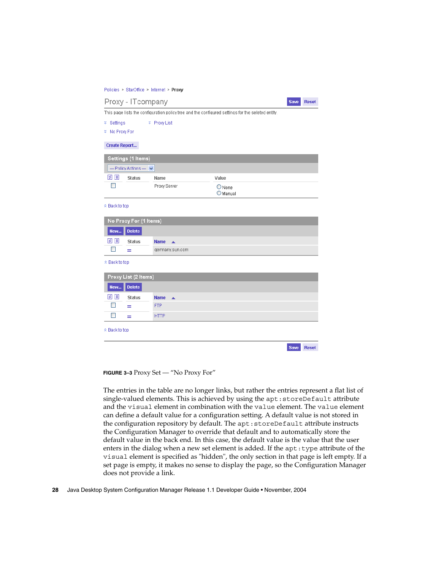#### Policies > StarOffice > Internet > Proxy

| This page lists the configuration policy tree and the configured settings for the seleted entity. |
|---------------------------------------------------------------------------------------------------|
|                                                                                                   |
|                                                                                                   |
|                                                                                                   |
|                                                                                                   |
|                                                                                                   |
|                                                                                                   |
| $O$ None<br>O Manual                                                                              |
|                                                                                                   |
|                                                                                                   |
|                                                                                                   |
|                                                                                                   |
|                                                                                                   |
|                                                                                                   |
|                                                                                                   |
|                                                                                                   |
|                                                                                                   |
|                                                                                                   |
|                                                                                                   |
|                                                                                                   |

**FIGURE 3–3** Proxy Set — "No Proxy For"

The entries in the table are no longer links, but rather the entries represent a flat list of single-valued elements. This is achieved by using the apt:storeDefault attribute and the visual element in combination with the value element. The value element can define a default value for a configuration setting. A default value is not stored in the configuration repository by default. The apt:storeDefault attribute instructs the Configuration Manager to override that default and to automatically store the default value in the back end. In this case, the default value is the value that the user enters in the dialog when a new set element is added. If the apt:type attribute of the visual element is specified as "hidden", the only section in that page is left empty. If a set page is empty, it makes no sense to display the page, so the Configuration Manager does not provide a link.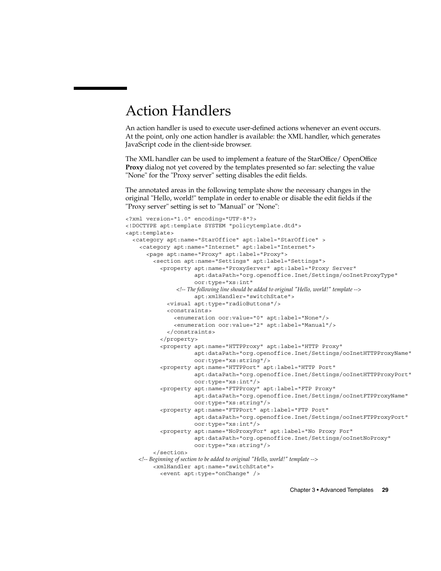## <span id="page-28-0"></span>Action Handlers

An action handler is used to execute user-defined actions whenever an event occurs. At the point, only one action handler is available: the XML handler, which generates JavaScript code in the client-side browser.

The XML handler can be used to implement a feature of the StarOffice/ OpenOffice **Proxy** dialog not yet covered by the templates presented so far: selecting the value "None" for the "Proxy server" setting disables the edit fields.

The annotated areas in the following template show the necessary changes in the original "Hello, world!" template in order to enable or disable the edit fields if the "Proxy server" setting is set to "Manual" or "None":

```
<?xml version="1.0" encoding="UTF-8"?>
<!DOCTYPE apt:template SYSTEM "policytemplate.dtd">
<apt:template>
  <category apt:name="StarOffice" apt:label="StarOffice" >
    <category apt:name="Internet" apt:label="Internet">
      <page apt:name="Proxy" apt:label="Proxy">
        <section apt:name="Settings" apt:label="Settings">
          <property apt:name="ProxyServer" apt:label="Proxy Server"
                    apt:dataPath="org.openoffice.Inet/Settings/ooInetProxyType"
                     oor:type="xs:int"
               <!-- The following line should be added to original "Hello, world!" template -->
                     apt:xmlHandler="switchState">
            <visual apt:type="radioButtons"/>
            <constraints>
              <enumeration oor:value="0" apt:label="None"/>
              <enumeration oor:value="2" apt:label="Manual"/>
            </constraints>
          </property>
          <property apt:name="HTTPProxy" apt:label="HTTP Proxy"
                     apt:dataPath="org.openoffice.Inet/Settings/ooInetHTTPProxyName"
                    oor:type="xs:string"/>
          <property apt:name="HTTPPort" apt:label="HTTP Port"
                    apt:dataPath="org.openoffice.Inet/Settings/ooInetHTTPProxyPort"
                    oor:type="xs:int"/>
          <property apt:name="FTPProxy" apt:label="FTP Proxy"
                    apt:dataPath="org.openoffice.Inet/Settings/ooInetFTPProxyName"
                    oor:type="xs:string"/>
          <property apt:name="FTPPort" apt:label="FTP Port"
                    apt:dataPath="org.openoffice.Inet/Settings/ooInetFTPProxyPort"
                    oor:type="xs:int"/>
          <property apt:name="NoProxyFor" apt:label="No Proxy For"
                    apt:dataPath="org.openoffice.Inet/Settings/ooInetNoProxy"
                    oor:type="xs:string"/>
        </section>
   <!-- Beginning of section to be added to original "Hello, world!" template -->
        <xmlHandler apt:name="switchState">
          <event apt:type="onChange" />
```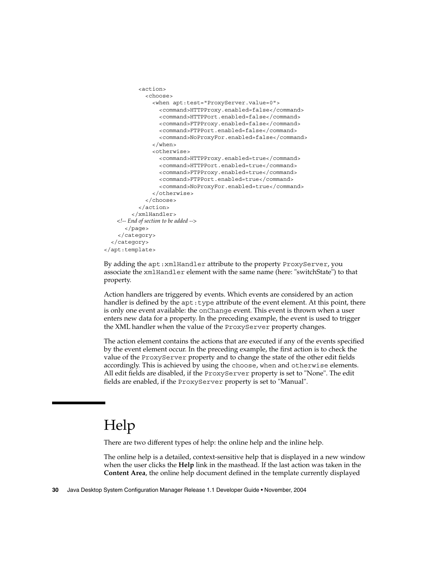```
<action>
            <choose>
              <when apt:test="ProxyServer.value=0">
                <command>HTTPProxy.enabled=false</command>
                <command>HTTPPort.enabled=false</command>
                <command>FTPProxy.enabled=false</command>
                <command>FTPPort.enabled=false</command>
                <command>NoProxyFor.enabled=false</command>
              </when>
              <otherwise>
                <command>HTTPProxy.enabled=true</command>
                <command>HTTPPort.enabled=true</command>
                <command>FTPProxy.enabled=true</command>
                <command>FTPPort.enabled=true</command>
                <command>NoProxyFor.enabled=true</command>
              </otherwise>
            </choose>
          </action>
        </xmlHandler>
   <!-- End of section to be added -->
      </page>
    </category>
 </category>
</apt:template>
```
By adding the apt:xmlHandler attribute to the property ProxyServer, you associate the xmlHandler element with the same name (here: "switchState") to that property.

Action handlers are triggered by events. Which events are considered by an action handler is defined by the  $apt:type$  attribute of the event element. At this point, there is only one event available: the onChange event. This event is thrown when a user enters new data for a property. In the preceding example, the event is used to trigger the XML handler when the value of the ProxyServer property changes.

The action element contains the actions that are executed if any of the events specified by the event element occur. In the preceding example, the first action is to check the value of the ProxyServer property and to change the state of the other edit fields accordingly. This is achieved by using the choose, when and otherwise elements. All edit fields are disabled, if the ProxyServer property is set to "None". The edit fields are enabled, if the ProxyServer property is set to "Manual".

# Help

There are two different types of help: the online help and the inline help.

The online help is a detailed, context-sensitive help that is displayed in a new window when the user clicks the **Help** link in the masthead. If the last action was taken in the **Content Area**, the online help document defined in the template currently displayed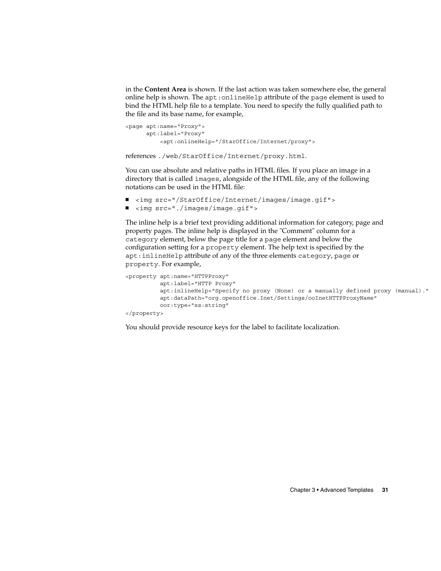in the **Content Area** is shown. If the last action was taken somewhere else, the general online help is shown. The apt:onlineHelp attribute of the page element is used to bind the HTML help file to a template. You need to specify the fully qualified path to the file and its base name, for example,

```
<page apt:name="Proxy">
     apt:label="Proxy"
          <apt:onlineHelp="/StarOffice/Internet/proxy">
```
references ./web/StarOffice/Internet/proxy.html.

You can use absolute and relative paths in HTML files. If you place an image in a directory that is called images, alongside of the HTML file, any of the following notations can be used in the HTML file:

```
■ <img src="/StarOffice/Internet/images/image.gif">
```

```
■ <img src="./images/image.gif">
```
The inline help is a brief text providing additional information for category, page and property pages. The inline help is displayed in the "Comment" column for a category element, below the page title for a page element and below the configuration setting for a property element. The help text is specified by the apt:inlineHelp attribute of any of the three elements category, page or property. For example,

```
<property apt:name="HTTPProxy"
         apt:label="HTTP Proxy"
         apt:inlineHelp="Specify no proxy (None) or a manually defined proxy (manual)."
         apt:dataPath="org.openoffice.Inet/Settings/ooInetHTTPProxyName"
         oor:type="xs:string"
```
</property>

You should provide resource keys for the label to facilitate localization.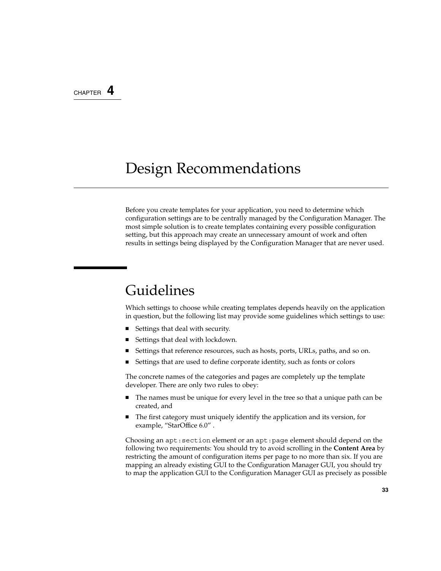#### <span id="page-32-0"></span>CHAPTER **4**

## Design Recommendations

Before you create templates for your application, you need to determine which configuration settings are to be centrally managed by the Configuration Manager. The most simple solution is to create templates containing every possible configuration setting, but this approach may create an unnecessary amount of work and often results in settings being displayed by the Configuration Manager that are never used.

## Guidelines

Which settings to choose while creating templates depends heavily on the application in question, but the following list may provide some guidelines which settings to use:

- Settings that deal with security.
- Settings that deal with lockdown.
- Settings that reference resources, such as hosts, ports, URLs, paths, and so on.
- Settings that are used to define corporate identity, such as fonts or colors

The concrete names of the categories and pages are completely up the template developer. There are only two rules to obey:

- The names must be unique for every level in the tree so that a unique path can be created, and
- The first category must uniquely identify the application and its version, for example, "StarOffice 6.0" .

Choosing an apt:section element or an apt:page element should depend on the following two requirements: You should try to avoid scrolling in the **Content Area** by restricting the amount of configuration items per page to no more than six. If you are mapping an already existing GUI to the Configuration Manager GUI, you should try to map the application GUI to the Configuration Manager GUI as precisely as possible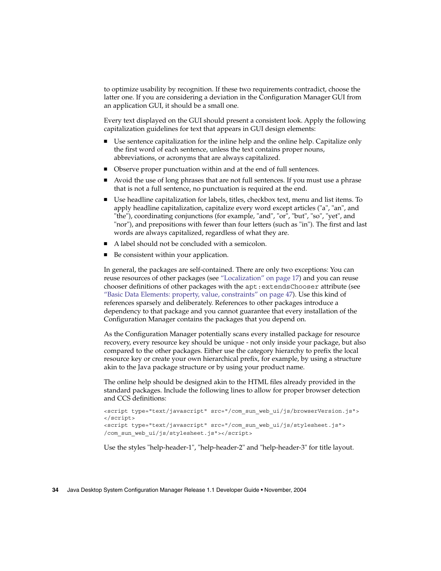to optimize usability by recognition. If these two requirements contradict, choose the latter one. If you are considering a deviation in the Configuration Manager GUI from an application GUI, it should be a small one.

Every text displayed on the GUI should present a consistent look. Apply the following capitalization guidelines for text that appears in GUI design elements:

- Use sentence capitalization for the inline help and the online help. Capitalize only the first word of each sentence, unless the text contains proper nouns, abbreviations, or acronyms that are always capitalized.
- Observe proper punctuation within and at the end of full sentences.
- Avoid the use of long phrases that are not full sentences. If you must use a phrase that is not a full sentence, no punctuation is required at the end.
- Use headline capitalization for labels, titles, checkbox text, menu and list items. To apply headline capitalization, capitalize every word except articles ("a", "an", and "the"), coordinating conjunctions (for example, "and", "or", "but", "so", "yet", and "nor"), and prepositions with fewer than four letters (such as "in"). The first and last words are always capitalized, regardless of what they are.
- A label should not be concluded with a semicolon.
- Be consistent within your application.

In general, the packages are self-contained. There are only two exceptions: You can reuse resources of other packages (see ["Localization"](#page-16-0) on page 17) and you can reuse chooser definitions of other packages with the apt:extendsChooser attribute (see ["Basic Data Elements: property, value, constraints"](#page-46-0) on page 47). Use this kind of references sparsely and deliberately. References to other packages introduce a dependency to that package and you cannot guarantee that every installation of the Configuration Manager contains the packages that you depend on.

As the Configuration Manager potentially scans every installed package for resource recovery, every resource key should be unique - not only inside your package, but also compared to the other packages. Either use the category hierarchy to prefix the local resource key or create your own hierarchical prefix, for example, by using a structure akin to the Java package structure or by using your product name.

The online help should be designed akin to the HTML files already provided in the standard packages. Include the following lines to allow for proper browser detection and CCS definitions:

```
<script type="text/javascript" src="/com_sun_web_ui/js/browserVersion.js">
</script>
<script type="text/javascript" src="/com_sun_web_ui/js/stylesheet.js">
/com_sun_web_ui/js/stylesheet.js"></script>
```
Use the styles "help-header-1", "help-header-2" and "help-header-3" for title layout.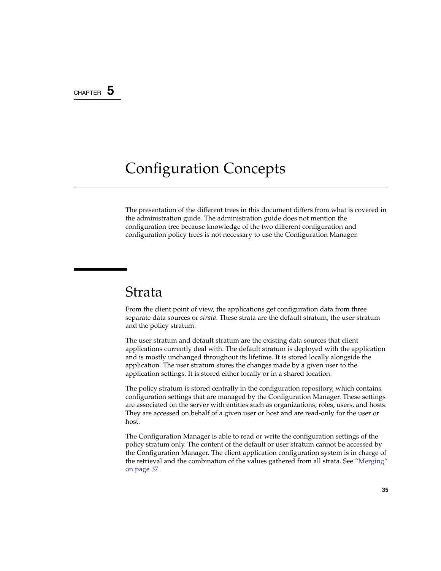### <span id="page-34-0"></span>CHAPTER **5**

## Configuration Concepts

The presentation of the different trees in this document differs from what is covered in the administration guide. The administration guide does not mention the configuration tree because knowledge of the two different configuration and configuration policy trees is not necessary to use the Configuration Manager.

## Strata

From the client point of view, the applications get configuration data from three separate data sources or *strata*. These strata are the default stratum, the user stratum and the policy stratum.

The user stratum and default stratum are the existing data sources that client applications currently deal with. The default stratum is deployed with the application and is mostly unchanged throughout its lifetime. It is stored locally alongside the application. The user stratum stores the changes made by a given user to the application settings. It is stored either locally or in a shared location.

The policy stratum is stored centrally in the configuration repository, which contains configuration settings that are managed by the Configuration Manager. These settings are associated on the server with entities such as organizations, roles, users, and hosts. They are accessed on behalf of a given user or host and are read-only for the user or host.

The Configuration Manager is able to read or write the configuration settings of the policy stratum only. The content of the default or user stratum cannot be accessed by the Configuration Manager. The client application configuration system is in charge of the retrieval and the combination of the values gathered from all strata. See ["Merging"](#page-36-0) [on page 37.](#page-36-0)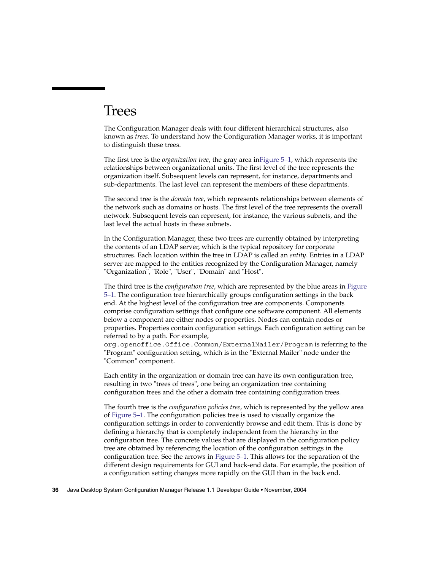## <span id="page-35-0"></span>Trees

The Configuration Manager deals with four different hierarchical structures, also known as *trees*. To understand how the Configuration Manager works, it is important to distinguish these trees.

The first tree is the *organization tree*, the gray area i[nFigure 5–1,](#page-36-0) which represents the relationships between organizational units. The first level of the tree represents the organization itself. Subsequent levels can represent, for instance, departments and sub-departments. The last level can represent the members of these departments.

The second tree is the *domain tree*, which represents relationships between elements of the network such as domains or hosts. The first level of the tree represents the overall network. Subsequent levels can represent, for instance, the various subnets, and the last level the actual hosts in these subnets.

In the Configuration Manager, these two trees are currently obtained by interpreting the contents of an LDAP server, which is the typical repository for corporate structures. Each location within the tree in LDAP is called an *entity*. Entries in a LDAP server are mapped to the entities recognized by the Configuration Manager, namely "Organization", "Role", "User", "Domain" and "Host".

The third tree is the *configuration tree*, which are represented by the blue areas in [Figure](#page-36-0) [5–1.](#page-36-0) The configuration tree hierarchically groups configuration settings in the back end. At the highest level of the configuration tree are components. Components comprise configuration settings that configure one software component. All elements below a component are either nodes or properties. Nodes can contain nodes or properties. Properties contain configuration settings. Each configuration setting can be referred to by a path. For example,

org.openoffice.Office.Common/ExternalMailer/Program is referring to the "Program" configuration setting, which is in the "External Mailer" node under the "Common" component.

Each entity in the organization or domain tree can have its own configuration tree, resulting in two "trees of trees", one being an organization tree containing configuration trees and the other a domain tree containing configuration trees.

The fourth tree is the *configuration policies tree*, which is represented by the yellow area of [Figure 5–1.](#page-36-0) The configuration policies tree is used to visually organize the configuration settings in order to conveniently browse and edit them. This is done by defining a hierarchy that is completely independent from the hierarchy in the configuration tree. The concrete values that are displayed in the configuration policy tree are obtained by referencing the location of the configuration settings in the configuration tree. See the arrows in [Figure 5–1.](#page-36-0) This allows for the separation of the different design requirements for GUI and back-end data. For example, the position of a configuration setting changes more rapidly on the GUI than in the back end.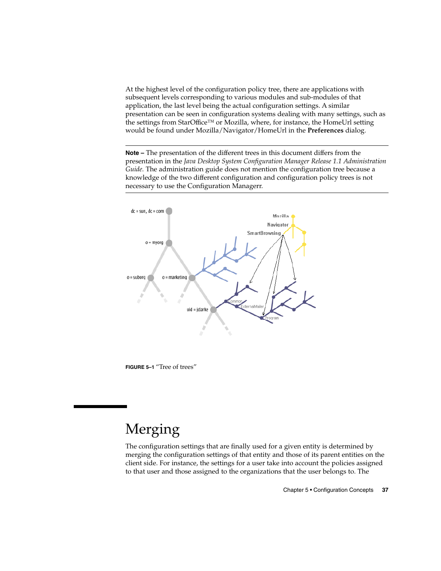<span id="page-36-0"></span>At the highest level of the configuration policy tree, there are applications with subsequent levels corresponding to various modules and sub-modules of that application, the last level being the actual configuration settings. A similar presentation can be seen in configuration systems dealing with many settings, such as the settings from StarOffice™ or Mozilla, where, for instance, the HomeUrl setting would be found under Mozilla/Navigator/HomeUrl in the **Preferences** dialog.

**Note –** The presentation of the different trees in this document differs from the presentation in the *Java Desktop System Configuration Manager Release 1.1 Administration Guide*. The administration guide does not mention the configuration tree because a knowledge of the two different configuration and configuration policy trees is not necessary to use the Configuration Managerr.



**FIGURE 5–1** "Tree of trees"

# Merging

The configuration settings that are finally used for a given entity is determined by merging the configuration settings of that entity and those of its parent entities on the client side. For instance, the settings for a user take into account the policies assigned to that user and those assigned to the organizations that the user belongs to. The

Chapter 5 • Configuration Concepts **37**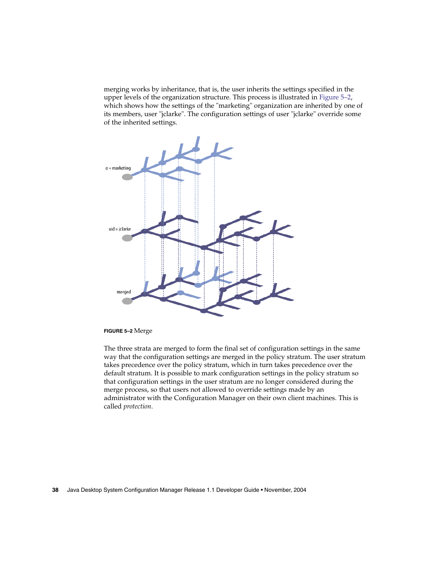<span id="page-37-0"></span>merging works by inheritance, that is, the user inherits the settings specified in the upper levels of the organization structure. This process is illustrated in Figure 5–2, which shows how the settings of the "marketing" organization are inherited by one of its members, user "jclarke". The configuration settings of user "jclarke" override some of the inherited settings.





The three strata are merged to form the final set of configuration settings in the same way that the configuration settings are merged in the policy stratum. The user stratum takes precedence over the policy stratum, which in turn takes precedence over the default stratum. It is possible to mark configuration settings in the policy stratum so that configuration settings in the user stratum are no longer considered during the merge process, so that users not allowed to override settings made by an administrator with the Configuration Manager on their own client machines. This is called *protection*.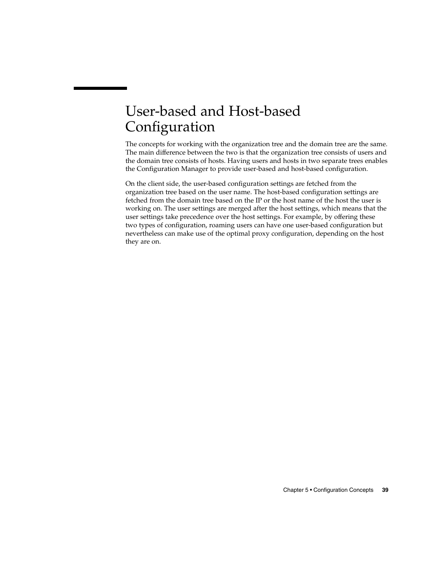## <span id="page-38-0"></span>User-based and Host-based Configuration

The concepts for working with the organization tree and the domain tree are the same. The main difference between the two is that the organization tree consists of users and the domain tree consists of hosts. Having users and hosts in two separate trees enables the Configuration Manager to provide user-based and host-based configuration.

On the client side, the user-based configuration settings are fetched from the organization tree based on the user name. The host-based configuration settings are fetched from the domain tree based on the IP or the host name of the host the user is working on. The user settings are merged after the host settings, which means that the user settings take precedence over the host settings. For example, by offering these two types of configuration, roaming users can have one user-based configuration but nevertheless can make use of the optimal proxy configuration, depending on the host they are on.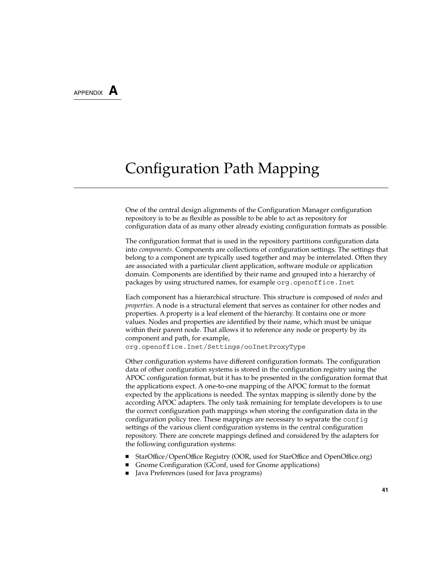<span id="page-40-0"></span>APPENDIX **A**

## Configuration Path Mapping

One of the central design alignments of the Configuration Manager configuration repository is to be as flexible as possible to be able to act as repository for configuration data of as many other already existing configuration formats as possible.

The configuration format that is used in the repository partitions configuration data into *components*. Components are collections of configuration settings. The settings that belong to a component are typically used together and may be interrelated. Often they are associated with a particular client application, software module or application domain. Components are identified by their name and grouped into a hierarchy of packages by using structured names, for example org.openoffice. Inet

Each component has a hierarchical structure. This structure is composed of *nodes* and *properties*. A node is a structural element that serves as container for other nodes and properties. A property is a leaf element of the hierarchy. It contains one or more values. Nodes and properties are identified by their name, which must be unique within their parent node. That allows it to reference any node or property by its component and path, for example,

org.openoffice.Inet/Settings/ooInetProxyType

Other configuration systems have different configuration formats. The configuration data of other configuration systems is stored in the configuration registry using the APOC configuration format, but it has to be presented in the configuration format that the applications expect. A one-to-one mapping of the APOC format to the format expected by the applications is needed. The syntax mapping is silently done by the according APOC adapters. The only task remaining for template developers is to use the correct configuration path mappings when storing the configuration data in the configuration policy tree. These mappings are necessary to separate the config settings of the various client configuration systems in the central configuration repository. There are concrete mappings defined and considered by the adapters for the following configuration systems:

- StarOffice/OpenOffice Registry (OOR, used for StarOffice and OpenOffice.org)
- Gnome Configuration (GConf, used for Gnome applications)
- Java Preferences (used for Java programs)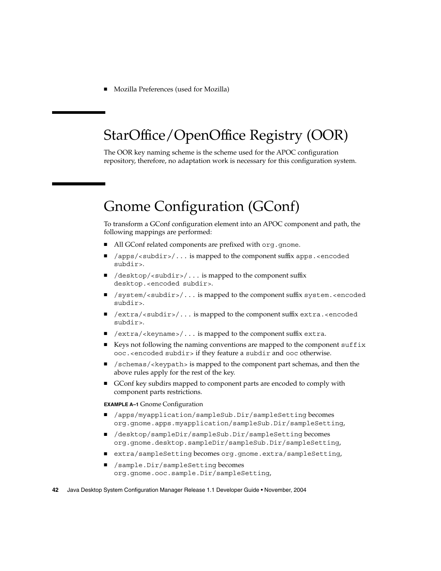<span id="page-41-0"></span>■ Mozilla Preferences (used for Mozilla)

## StarOffice/OpenOffice Registry (OOR)

The OOR key naming scheme is the scheme used for the APOC configuration repository, therefore, no adaptation work is necessary for this configuration system.

## Gnome Configuration (GConf)

To transform a GConf configuration element into an APOC component and path, the following mappings are performed:

- All GConf related components are prefixed with org.gnome.
- /apps/<subdir>/... is mapped to the component suffix apps.<encoded subdir>.
- $\blacksquare$  /desktop/<subdir>/... is mapped to the component suffix desktop.<encoded subdir>.
- /system/<subdir>/... is mapped to the component suffix system.<encoded subdir>.
- /extra/<subdir>/... is mapped to the component suffix extra.<encoded subdir>.
- $/$ extra/<keyname> $/$ ... is mapped to the component suffix extra.
- Keys not following the naming conventions are mapped to the component suffix ooc.<encoded subdir> if they feature a subdir and ooc otherwise.
- /schemas/<keypath> is mapped to the component part schemas, and then the above rules apply for the rest of the key.
- GConf key subdirs mapped to component parts are encoded to comply with component parts restrictions.

#### **EXAMPLE A–1** Gnome Configuration

- /apps/myapplication/sampleSub.Dir/sampleSetting becomes org.gnome.apps.myapplication/sampleSub.Dir/sampleSetting,
- /desktop/sampleDir/sampleSub.Dir/sampleSetting becomes org.gnome.desktop.sampleDir/sampleSub.Dir/sampleSetting,
- extra/sampleSetting becomes org.gnome.extra/sampleSetting,
- /sample.Dir/sampleSetting becomes org.gnome.ooc.sample.Dir/sampleSetting,
- **42** Java Desktop System Configuration Manager Release 1.1 Developer Guide November, 2004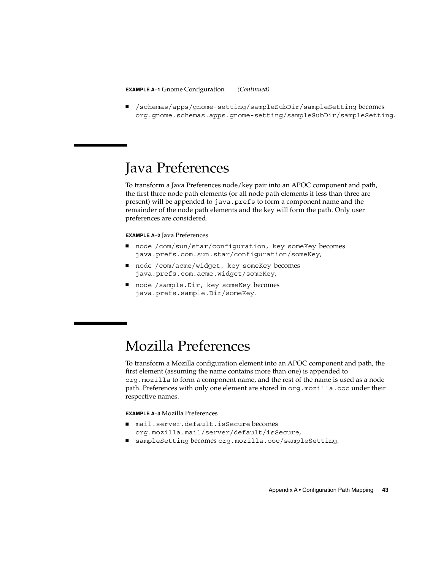<span id="page-42-0"></span>**EXAMPLE A–1** Gnome Configuration *(Continued)*

■ /schemas/apps/gnome-setting/sampleSubDir/sampleSetting becomes org.gnome.schemas.apps.gnome-setting/sampleSubDir/sampleSetting.

## Java Preferences

To transform a Java Preferences node/key pair into an APOC component and path, the first three node path elements (or all node path elements if less than three are present) will be appended to java.prefs to form a component name and the remainder of the node path elements and the key will form the path. Only user preferences are considered.

#### **EXAMPLE A–2** Java Preferences

- node /com/sun/star/configuration, key someKey becomes java.prefs.com.sun.star/configuration/someKey,
- node /com/acme/widget, key someKey becomes java.prefs.com.acme.widget/someKey,
- node /sample.Dir, key someKey becomes java.prefs.sample.Dir/someKey.

## Mozilla Preferences

To transform a Mozilla configuration element into an APOC component and path, the first element (assuming the name contains more than one) is appended to org.mozilla to form a component name, and the rest of the name is used as a node path. Preferences with only one element are stored in org.mozilla.ooc under their respective names.

#### **EXAMPLE A–3** Mozilla Preferences

- mail.server.default.isSecure becomes org.mozilla.mail/server/default/isSecure,
- sampleSetting becomes org.mozilla.ooc/sampleSetting.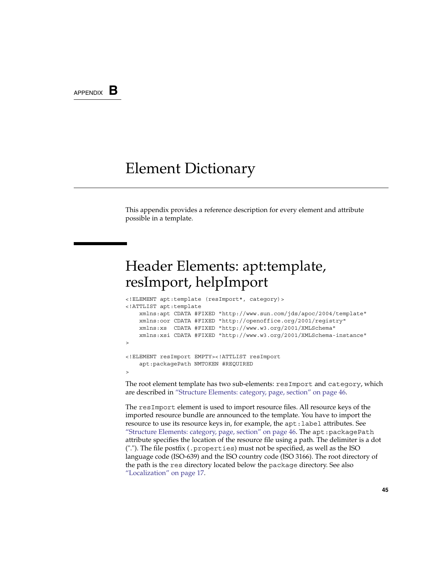<span id="page-44-0"></span>APPENDIX **B**

## Element Dictionary

This appendix provides a reference description for every element and attribute possible in a template.

## Header Elements: apt:template, resImport, helpImport

```
<!ELEMENT apt:template (resImport*, category)>
<!ATTLIST apt:template
   xmlns:apt CDATA #FIXED "http://www.sun.com/jds/apoc/2004/template"
   xmlns:oor CDATA #FIXED "http://openoffice.org/2001/registry"
   xmlns:xs CDATA #FIXED "http://www.w3.org/2001/XMLSchema"
   xmlns:xsi CDATA #FIXED "http://www.w3.org/2001/XMLSchema-instance"
>
<!ELEMENT resImport EMPTY><!ATTLIST resImport
   apt:packagePath NMTOKEN #REQUIRED
>
```
The root element template has two sub-elements: resImport and category, which are described in ["Structure Elements: category, page, section"](#page-45-0) on page 46.

The resImport element is used to import resource files. All resource keys of the imported resource bundle are announced to the template. You have to import the resource to use its resource keys in, for example, the apt:label attributes. See ["Structure Elements: category, page, section"](#page-45-0) on page 46. The apt: packagePath attribute specifies the location of the resource file using a path. The delimiter is a dot ("."). The file postfix (.properties) must not be specified, as well as the ISO language code (ISO-639) and the ISO country code (ISO 3166). The root directory of the path is the res directory located below the package directory. See also ["Localization"](#page-16-0) on page 17.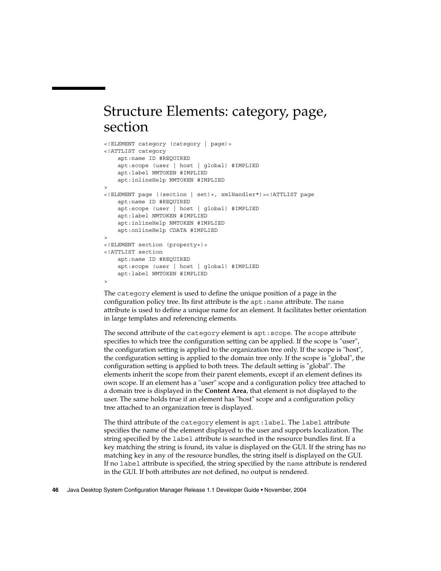## <span id="page-45-0"></span>Structure Elements: category, page, section

```
<!ELEMENT category (category | page)>
<!ATTLIST category
   apt:name ID #REQUIRED
    apt:scope (user | host | global) #IMPLIED
   apt:label NMTOKEN #IMPLIED
   apt:inlineHelp NMTOKEN #IMPLIED
\overline{\phantom{a}}<!ELEMENT page ((section | set)+, xmlHandler*)><!ATTLIST page
    apt:name ID #REQUIRED
    apt:scope (user | host | global) #IMPLIED
   apt:label NMTOKEN #IMPLIED
   apt:inlineHelp NMTOKEN #IMPLIED
   apt:onlineHelp CDATA #IMPLIED
>
<!ELEMENT section (property+)>
<!ATTLIST section
   apt:name ID #REQUIRED
    apt:scope (user | host | global) #IMPLIED
    apt:label NMTOKEN #IMPLIED
>
```
The category element is used to define the unique position of a page in the configuration policy tree. Its first attribute is the  $apt:name$  attribute. The name attribute is used to define a unique name for an element. It facilitates better orientation in large templates and referencing elements.

The second attribute of the category element is apt:scope. The scope attribute specifies to which tree the configuration setting can be applied. If the scope is "user", the configuration setting is applied to the organization tree only. If the scope is "host", the configuration setting is applied to the domain tree only. If the scope is "global", the configuration setting is applied to both trees. The default setting is "global". The elements inherit the scope from their parent elements, except if an element defines its own scope. If an element has a "user" scope and a configuration policy tree attached to a domain tree is displayed in the **Content Area**, that element is not displayed to the user. The same holds true if an element has "host" scope and a configuration policy tree attached to an organization tree is displayed.

The third attribute of the category element is apt:label. The label attribute specifies the name of the element displayed to the user and supports localization. The string specified by the label attribute is searched in the resource bundles first. If a key matching the string is found, its value is displayed on the GUI. If the string has no matching key in any of the resource bundles, the string itself is displayed on the GUI. If no label attribute is specified, the string specified by the name attribute is rendered in the GUI. If both attributes are not defined, no output is rendered.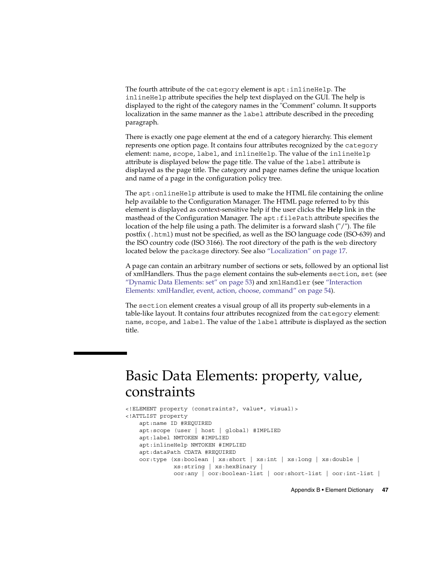<span id="page-46-0"></span>The fourth attribute of the category element is apt:inlineHelp. The inlineHelp attribute specifies the help text displayed on the GUI. The help is displayed to the right of the category names in the "Comment" column. It supports localization in the same manner as the label attribute described in the preceding paragraph.

There is exactly one page element at the end of a category hierarchy. This element represents one option page. It contains four attributes recognized by the category element: name, scope, label, and inlineHelp. The value of the inlineHelp attribute is displayed below the page title. The value of the label attribute is displayed as the page title. The category and page names define the unique location and name of a page in the configuration policy tree.

The apt:onlineHelp attribute is used to make the HTML file containing the online help available to the Configuration Manager. The HTML page referred to by this element is displayed as context-sensitive help if the user clicks the **Help** link in the masthead of the Configuration Manager. The apt:filePath attribute specifies the location of the help file using a path. The delimiter is a forward slash ("/"). The file postfix (.html) must not be specified, as well as the ISO language code (ISO-639) and the ISO country code (ISO 3166). The root directory of the path is the web directory located below the package directory. See also ["Localization"](#page-16-0) on page 17.

A page can contain an arbitrary number of sections or sets, followed by an optional list of xmlHandlers. Thus the page element contains the sub-elements section, set (see ["Dynamic Data Elements: set"](#page-52-0) on page 53) and xmlHandler (see ["Interaction](#page-53-0) [Elements: xmlHandler, event, action, choose, command"](#page-53-0) on page 54).

The section element creates a visual group of all its property sub-elements in a table-like layout. It contains four attributes recognized from the category element: name, scope, and label. The value of the label attribute is displayed as the section title.

## Basic Data Elements: property, value, constraints

```
<!ELEMENT property (constraints?, value*, visual)>
<!ATTLIST property
   apt:name ID #REQUIRED
   apt:scope (user | host | global) #IMPLIED
   apt:label NMTOKEN #IMPLIED
   apt:inlineHelp NMTOKEN #IMPLIED
   apt:dataPath CDATA #REQUIRED
   oor:type (xs:boolean | xs:short | xs:int | xs:long | xs:double |
             xs:string | xs:hexBinary |
             oor:any | oor:boolean-list | oor:short-list | oor:int-list |
```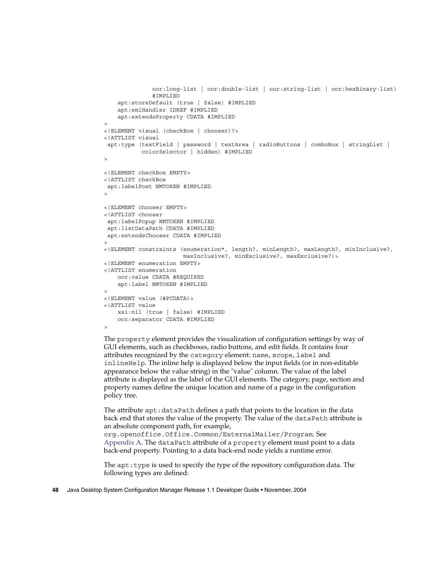```
oor:long-list | oor:double-list | oor:string-list | oor:hexBinary-list)
              #IMPLIED
    apt:storeDefault (true | false) #IMPLIED
    apt:xmlHandler IDREF #IMPLIED
   apt:extendsProperty CDATA #IMPLIED
>
<!ELEMENT visual (checkBox | chooser)?>
<!ATTLIST visual
apt:type (textField | password | textArea | radioButtons | comboBox | stringList |
          colorSelector | hidden) #IMPLIED
>
<!ELEMENT checkBox EMPTY>
<!ATTLIST checkBox
apt:labelPost NMTOKEN #IMPLIED
>
<!ELEMENT chooser EMPTY>
<!ATTLIST chooser
apt:labelPopup NMTOKEN #IMPLIED
apt:listDataPath CDATA #IMPLIED
apt:extendsChooser CDATA #IMPLIED
>
<!ELEMENT constraints (enumeration*, length?, minLength?, maxLength?, minInclusive?,
                      maxInclusive?, minExclusive?, maxExclusive?)>
<!ELEMENT enumeration EMPTY>
<!ATTLIST enumeration
   oor:value CDATA #REQUIRED
   apt:label NMTOKEN #IMPLIED
>
<!ELEMENT value (#PCDATA)>
<!ATTLIST value
   xsi:nil (true | false) #IMPLIED
    oor:separator CDATA #IMPLIED
>
```
The property element provides the visualization of configuration settings by way of GUI elements, such as checkboxes, radio buttons, and edit fields. It contains four attributes recognized by the category element: name, scope, label and inlineHelp. The inline help is displayed below the input fields (or in non-editable appearance below the value string) in the "value" column. The value of the label attribute is displayed as the label of the GUI elements. The category, page, section and property names define the unique location and name of a page in the configuration policy tree.

The attribute apt:dataPath defines a path that points to the location in the data back end that stores the value of the property. The value of the dataPath attribute is an absolute component path, for example,

org.openoffice.Office.Common/ExternalMailer/Program. See [Appendix A.](#page-40-0) The dataPath attribute of a property element must point to a data back-end property. Pointing to a data back-end node yields a runtime error.

The  $apt:type$  is used to specify the type of the repository configuration data. The following types are defined: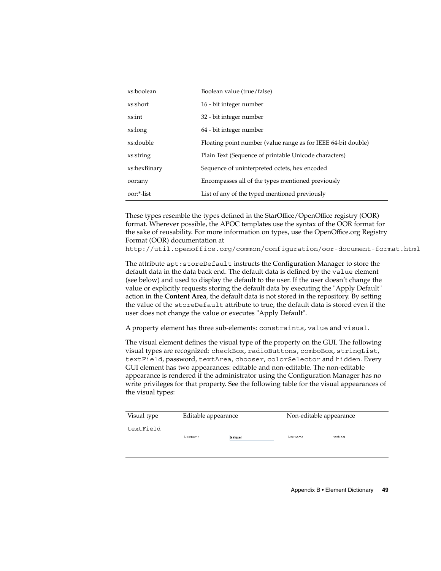| xs:boolean   | Boolean value (true/false)                                    |
|--------------|---------------------------------------------------------------|
| xs:short     | 16 - bit integer number                                       |
| xs:int       | 32 - bit integer number                                       |
| xs:long      | 64 - bit integer number                                       |
| xs:double    | Floating point number (value range as for IEEE 64-bit double) |
| xs:string    | Plain Text (Sequence of printable Unicode characters)         |
| xs:hexBinary | Sequence of uninterpreted octets, hex encoded                 |
| oor:any      | Encompasses all of the types mentioned previously             |
| oor:*-list   | List of any of the typed mentioned previously                 |

These types resemble the types defined in the StarOffice/OpenOffice registry (OOR) format. Wherever possible, the APOC templates use the syntax of the OOR format for the sake of reusability. For more information on types, use the OpenOffice.org Registry Format (OOR) documentation at

<http://util.openoffice.org/common/configuration/oor-document-format.html>

The attribute apt: storeDefault instructs the Configuration Manager to store the default data in the data back end. The default data is defined by the value element (see below) and used to display the default to the user. If the user doesn't change the value or explicitly requests storing the default data by executing the "Apply Default" action in the **Content Area**, the default data is not stored in the repository. By setting the value of the storeDefault attribute to true, the default data is stored even if the user does not change the value or executes "Apply Default".

A property element has three sub-elements: constraints, value and visual.

The visual element defines the visual type of the property on the GUI. The following visual types are recognized: checkBox, radioButtons, comboBox, stringList, textField, password, textArea, chooser, colorSelector and hidden. Every GUI element has two appearances: editable and non-editable. The non-editable appearance is rendered if the administrator using the Configuration Manager has no write privileges for that property. See the following table for the visual appearances of the visual types:

| Visual type | Editable appearance |          | Non-editable appearance |          |
|-------------|---------------------|----------|-------------------------|----------|
| textField   | Username            | testuser | Username                | testuser |
|             |                     |          |                         |          |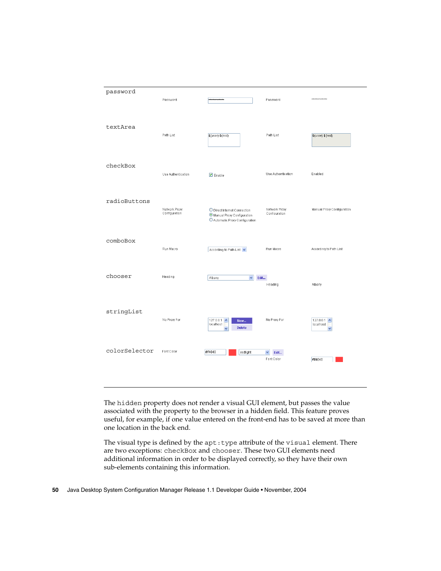| password      | Password                       | ****                                                                                          | Password                           | *************                                      |
|---------------|--------------------------------|-----------------------------------------------------------------------------------------------|------------------------------------|----------------------------------------------------|
| textArea      | Path List                      | \$(user) \$(inst)                                                                             | Path List                          | \$(user) \$(inst)                                  |
| checkBox      | Use Authentication             | $\triangleright$ Enable                                                                       | Use Authentication                 | Enabled                                            |
| radioButtons  | Network Proxy<br>Configuration | O Direct Internet Connection<br>Manual Proxy Configuration<br>O Automatic Proxy Configuration | Network Proxy<br>Configuration     | Manual Proxy Configuration                         |
| comboBox      | Run Macro                      | According to Path List                                                                        | Run Macro                          | According to Path List                             |
| chooser       | Heading                        | Albany<br>Edit<br>$\checkmark$                                                                | Heading                            | Albany                                             |
| stringList    | No Proxy For                   | 127.0.0.1<br>$\hat{\phantom{a}}$<br>New<br>localhost<br><b>Delete</b><br>Ÿ                    | No Proxy For                       | 127.0.0.1<br>$\overline{\phantom{a}}$<br>localhost |
| colorSelector | Font Color                     | #ff4040<br>redlight                                                                           | $\checkmark$<br>Edit<br>Font Color | #ff4040                                            |
|               |                                |                                                                                               |                                    |                                                    |

The hidden property does not render a visual GUI element, but passes the value associated with the property to the browser in a hidden field. This feature proves useful, for example, if one value entered on the front-end has to be saved at more than one location in the back end.

The visual type is defined by the apt: type attribute of the visual element. There are two exceptions: checkBox and chooser. These two GUI elements need additional information in order to be displayed correctly, so they have their own sub-elements containing this information.

**50** Java Desktop System Configuration Manager Release 1.1 Developer Guide • November, 2004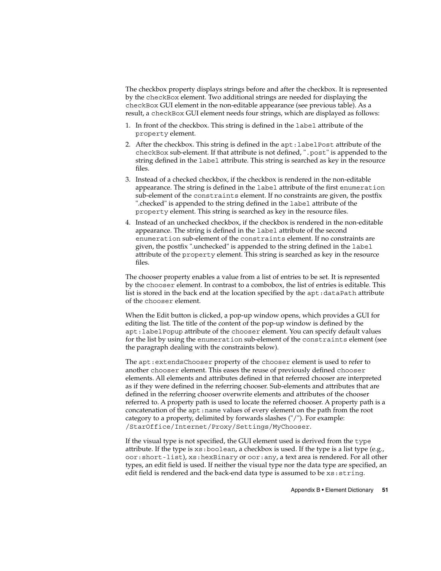The checkbox property displays strings before and after the checkbox. It is represented by the checkBox element. Two additional strings are needed for displaying the checkBox GUI element in the non-editable appearance (see previous table). As a result, a checkBox GUI element needs four strings, which are displayed as follows:

- 1. In front of the checkbox. This string is defined in the label attribute of the property element.
- 2. After the checkbox. This string is defined in the apt:labelPost attribute of the checkBox sub-element. If that attribute is not defined, ".post" is appended to the string defined in the label attribute. This string is searched as key in the resource files.
- 3. Instead of a checked checkbox, if the checkbox is rendered in the non-editable appearance. The string is defined in the label attribute of the first enumeration sub-element of the constraints element. If no constraints are given, the postfix ".checked" is appended to the string defined in the label attribute of the property element. This string is searched as key in the resource files.
- 4. Instead of an unchecked checkbox, if the checkbox is rendered in the non-editable appearance. The string is defined in the label attribute of the second enumeration sub-element of the constraints element. If no constraints are given, the postfix ".unchecked" is appended to the string defined in the label attribute of the property element. This string is searched as key in the resource files.

The chooser property enables a value from a list of entries to be set. It is represented by the chooser element. In contrast to a combobox, the list of entries is editable. This list is stored in the back end at the location specified by the  $apt:dataPath$  attribute of the chooser element.

When the Edit button is clicked, a pop-up window opens, which provides a GUI for editing the list. The title of the content of the pop-up window is defined by the apt:labelPopup attribute of the chooser element. You can specify default values for the list by using the enumeration sub-element of the constraints element (see the paragraph dealing with the constraints below).

The apt: extendsChooser property of the chooser element is used to refer to another chooser element. This eases the reuse of previously defined chooser elements. All elements and attributes defined in that referred chooser are interpreted as if they were defined in the referring chooser. Sub-elements and attributes that are defined in the referring chooser overwrite elements and attributes of the chooser referred to. A property path is used to locate the referred chooser. A property path is a concatenation of the apt:name values of every element on the path from the root category to a property, delimited by forwards slashes ("/"). For example: /StarOffice/Internet/Proxy/Settings/MyChooser.

If the visual type is not specified, the GUI element used is derived from the type attribute. If the type is xs:boolean, a checkbox is used. If the type is a list type (e.g., oor:short-list), xs:hexBinary or oor:any, a text area is rendered. For all other types, an edit field is used. If neither the visual type nor the data type are specified, an edit field is rendered and the back-end data type is assumed to be xs: string.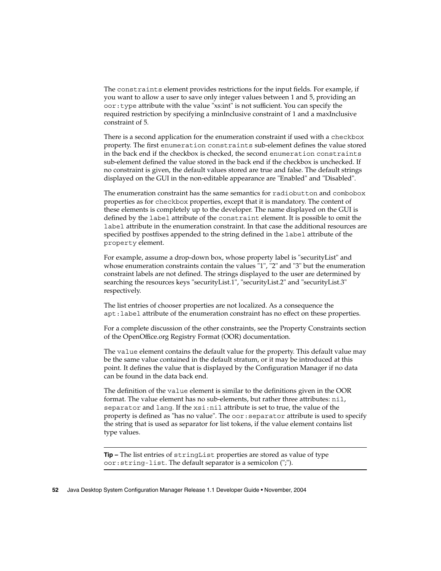The constraints element provides restrictions for the input fields. For example, if you want to allow a user to save only integer values between 1 and 5, providing an oor:type attribute with the value "xs:int" is not sufficient. You can specify the required restriction by specifying a minInclusive constraint of 1 and a maxInclusive constraint of 5.

There is a second application for the enumeration constraint if used with a checkbox property. The first enumeration constraints sub-element defines the value stored in the back end if the checkbox is checked, the second enumeration constraints sub-element defined the value stored in the back end if the checkbox is unchecked. If no constraint is given, the default values stored are true and false. The default strings displayed on the GUI in the non-editable appearance are "Enabled" and "Disabled".

The enumeration constraint has the same semantics for radiobutton and combobox properties as for checkbox properties, except that it is mandatory. The content of these elements is completely up to the developer. The name displayed on the GUI is defined by the label attribute of the constraint element. It is possible to omit the label attribute in the enumeration constraint. In that case the additional resources are specified by postfixes appended to the string defined in the label attribute of the property element.

For example, assume a drop-down box, whose property label is "securityList" and whose enumeration constraints contain the values "1", "2" and "3" but the enumeration constraint labels are not defined. The strings displayed to the user are determined by searching the resources keys "securityList.1", "securityList.2" and "securityList.3" respectively.

The list entries of chooser properties are not localized. As a consequence the apt:label attribute of the enumeration constraint has no effect on these properties.

For a complete discussion of the other constraints, see the [Property Constraints](http://util.openoffice.org/common/configuration/oor-document-format.html#constraints) section of the OpenOffice.org Registry Format (OOR) documentation.

The value element contains the default value for the property. This default value may be the same value contained in the default stratum, or it may be introduced at this point. It defines the value that is displayed by the Configuration Manager if no data can be found in the data back end.

The definition of the value element is similar to the definitions given in the OOR format. The value element has no sub-elements, but rather three attributes: nil, separator and lang. If the xsi:nil attribute is set to true, the value of the property is defined as "has no value". The oor:separator attribute is used to specify the string that is used as separator for list tokens, if the value element contains list type values.

**Tip –** The list entries of stringList properties are stored as value of type oor:string-list. The default separator is a semicolon (";").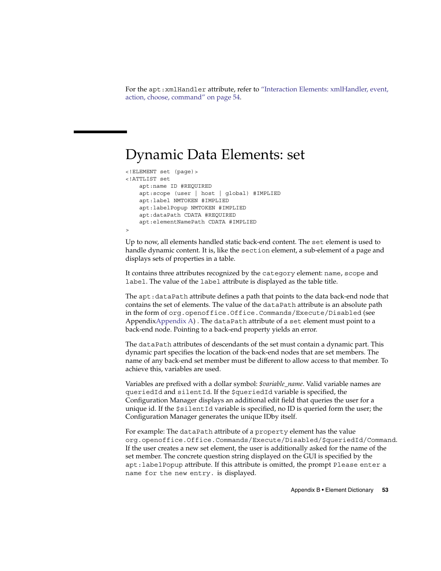<span id="page-52-0"></span>For the apt:xmlHandler attribute, refer to ["Interaction Elements: xmlHandler, event,](#page-53-0) [action, choose, command"](#page-53-0) on page 54.

## Dynamic Data Elements: set

```
<!ELEMENT set (page)>
<!ATTLIST set
   apt:name ID #REQUIRED
   apt:scope (user | host | global) #IMPLIED
   apt:label NMTOKEN #IMPLIED
   apt:labelPopup NMTOKEN #IMPLIED
   apt:dataPath CDATA #REQUIRED
   apt:elementNamePath CDATA #IMPLIED
>
```
Up to now, all elements handled static back-end content. The set element is used to handle dynamic content. It is, like the section element, a sub-element of a page and displays sets of properties in a table.

It contains three attributes recognized by the category element: name, scope and label. The value of the label attribute is displayed as the table title.

The apt:dataPath attribute defines a path that points to the data back-end node that contains the set of elements. The value of the dataPath attribute is an absolute path in the form of org.openoffice.Office.Commands/Execute/Disabled (see Appendix $\Delta$ ppendix $\Delta$ ). The dataPath attribute of a set element must point to a back-end node. Pointing to a back-end property yields an error.

The dataPath attributes of descendants of the set must contain a dynamic part. This dynamic part specifies the location of the back-end nodes that are set members. The name of any back-end set member must be different to allow access to that member. To achieve this, variables are used.

Variables are prefixed with a dollar symbol: *\$variable\_name*. Valid variable names are queriedId and silentId. If the \$queriedId variable is specified, the Configuration Manager displays an additional edit field that queries the user for a unique id. If the \$silentId variable is specified, no ID is queried form the user; the Configuration Manager generates the unique IDby itself.

For example: The dataPath attribute of a property element has the value org.openoffice.Office.Commands/Execute/Disabled/\$queriedId/Command. If the user creates a new set element, the user is additionally asked for the name of the set member. The concrete question string displayed on the GUI is specified by the apt:labelPopup attribute. If this attribute is omitted, the prompt Please enter a name for the new entry. is displayed.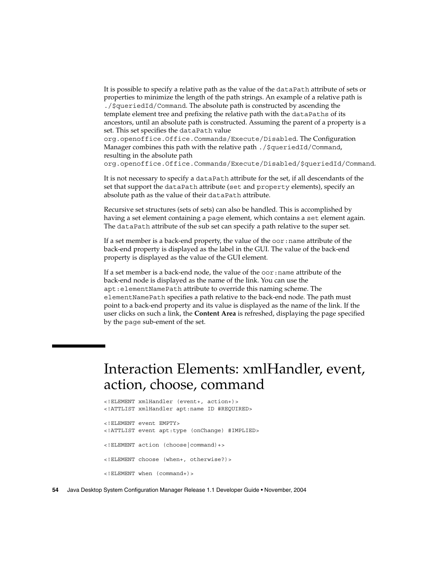<span id="page-53-0"></span>It is possible to specify a relative path as the value of the dataPath attribute of sets or properties to minimize the length of the path strings. An example of a relative path is ./\$queriedId/Command. The absolute path is constructed by ascending the template element tree and prefixing the relative path with the dataPaths of its ancestors, until an absolute path is constructed. Assuming the parent of a property is a set. This set specifies the dataPath value

org.openoffice.Office.Commands/Execute/Disabled. The Configuration Manager combines this path with the relative path . / \$queriedId/Command, resulting in the absolute path

org.openoffice.Office.Commands/Execute/Disabled/\$queriedId/Command.

It is not necessary to specify a dataPath attribute for the set, if all descendants of the set that support the dataPath attribute (set and property elements), specify an absolute path as the value of their dataPath attribute.

Recursive set structures (sets of sets) can also be handled. This is accomplished by having a set element containing a page element, which contains a set element again. The dataPath attribute of the sub set can specify a path relative to the super set.

If a set member is a back-end property, the value of the  $\infty$ r:name attribute of the back-end property is displayed as the label in the GUI. The value of the back-end property is displayed as the value of the GUI element.

If a set member is a back-end node, the value of the oor:name attribute of the back-end node is displayed as the name of the link. You can use the apt:elementNamePath attribute to override this naming scheme. The elementNamePath specifies a path relative to the back-end node. The path must point to a back-end property and its value is displayed as the name of the link. If the user clicks on such a link, the **Content Area** is refreshed, displaying the page specified by the page sub-ement of the set.

## Interaction Elements: xmlHandler, event, action, choose, command

```
<!ELEMENT xmlHandler (event+, action+)>
<!ATTLIST xmlHandler apt:name ID #REQUIRED>
<!ELEMENT event EMPTY>
<!ATTLIST event apt:type (onChange) #IMPLIED>
<!ELEMENT action (choose|command)+>
<!ELEMENT choose (when+, otherwise?)>
<!ELEMENT when (command+)>
```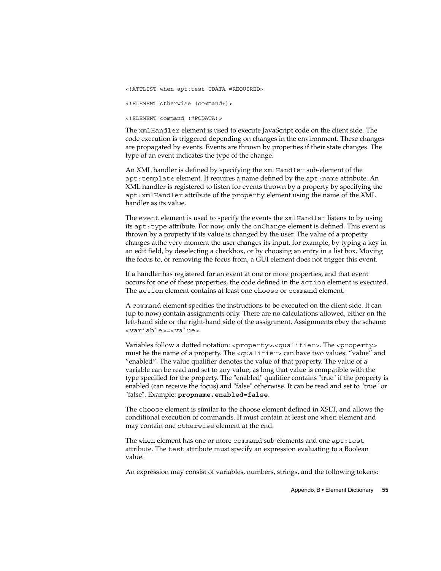<!ATTLIST when apt:test CDATA #REQUIRED>

<!ELEMENT otherwise (command+)>

<!ELEMENT command (#PCDATA)>

The xmlHandler element is used to execute JavaScript code on the client side. The code execution is triggered depending on changes in the environment. These changes are propagated by events. Events are thrown by properties if their state changes. The type of an event indicates the type of the change.

An XML handler is defined by specifying the xmlHandler sub-element of the apt: template element. It requires a name defined by the apt: name attribute. An XML handler is registered to listen for events thrown by a property by specifying the apt:xmlHandler attribute of the property element using the name of the XML handler as its value.

The event element is used to specify the events the xmlHandler listens to by using its apt:type attribute. For now, only the onChange element is defined. This event is thrown by a property if its value is changed by the user. The value of a property changes atthe very moment the user changes its input, for example, by typing a key in an edit field, by deselecting a checkbox, or by choosing an entry in a list box. Moving the focus to, or removing the focus from, a GUI element does not trigger this event.

If a handler has registered for an event at one or more properties, and that event occurs for one of these properties, the code defined in the action element is executed. The action element contains at least one choose or command element.

A command element specifies the instructions to be executed on the client side. It can (up to now) contain assignments only. There are no calculations allowed, either on the left-hand side or the right-hand side of the assignment. Assignments obey the scheme: <variable>=<value>.

Variables follow a dotted notation: <property>.<qualifier>. The <property> must be the name of a property. The <qualifier> can have two values: "value" and "enabled". The value qualifier denotes the value of that property. The value of a variable can be read and set to any value, as long that value is compatible with the type specified for the property. The "enabled" qualifier contains "true" if the property is enabled (can receive the focus) and "false" otherwise. It can be read and set to "true" or "false". Example: **propname.enabled=false**.

The choose element is similar to the choose element defined in XSLT, and allows the conditional execution of commands. It must contain at least one when element and may contain one otherwise element at the end.

The when element has one or more command sub-elements and one apt:test attribute. The test attribute must specify an expression evaluating to a Boolean value.

An expression may consist of variables, numbers, strings, and the following tokens: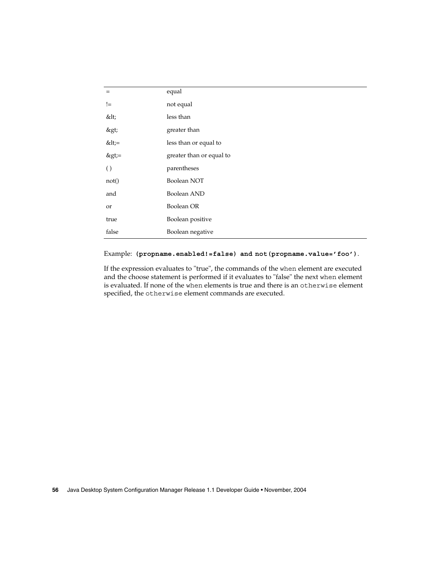| $=$                | equal                    |
|--------------------|--------------------------|
| $!=$               | not equal                |
| <                  | less than                |
| >                  | greater than             |
| $<=$               | less than or equal to    |
| $>=$               | greater than or equal to |
| $\left( \ \right)$ | parentheses              |
| not()              | Boolean NOT              |
| and                | Boolean AND              |
| or                 | Boolean OR               |
| true               | Boolean positive         |
| false              | Boolean negative         |

#### Example: **(propname.enabled!=false) and not(propname.value='foo')**.

If the expression evaluates to "true", the commands of the when element are executed and the choose statement is performed if it evaluates to "false" the next when element is evaluated. If none of the when elements is true and there is an otherwise element specified, the otherwise element commands are executed.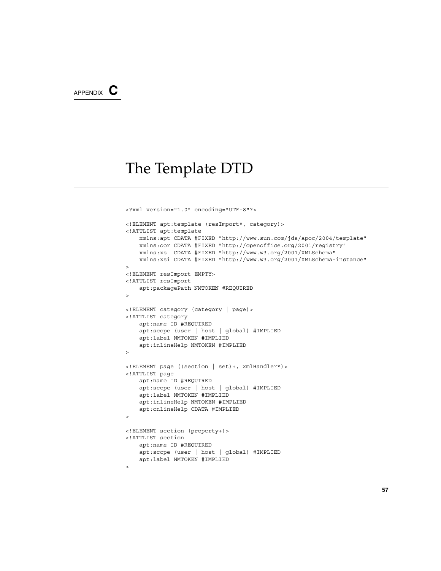<span id="page-56-0"></span>APPENDIX **C**

## The Template DTD

```
<?xml version="1.0" encoding="UTF-8"?>
<!ELEMENT apt:template (resImport*, category)>
<!ATTLIST apt:template
   xmlns:apt CDATA #FIXED "http://www.sun.com/jds/apoc/2004/template"
   xmlns:oor CDATA #FIXED "http://openoffice.org/2001/registry"
   xmlns:xs CDATA #FIXED "http://www.w3.org/2001/XMLSchema"
   xmlns:xsi CDATA #FIXED "http://www.w3.org/2001/XMLSchema-instance"
>
<!ELEMENT resImport EMPTY>
<!ATTLIST resImport
    apt:packagePath NMTOKEN #REQUIRED
>
<!ELEMENT category (category | page)>
<!ATTLIST category
    apt:name ID #REQUIRED
    apt:scope (user | host | global) #IMPLIED
   apt:label NMTOKEN #IMPLIED
    apt:inlineHelp NMTOKEN #IMPLIED
>
<!ELEMENT page ((section | set)+, xmlHandler*)>
<!ATTLIST page
    apt:name ID #REQUIRED
    apt:scope (user | host | global) #IMPLIED
    apt:label NMTOKEN #IMPLIED
   apt:inlineHelp NMTOKEN #IMPLIED
    apt:onlineHelp CDATA #IMPLIED
>
<!ELEMENT section (property+)>
<!ATTLIST section
    apt:name ID #REQUIRED
    apt:scope (user | host | global) #IMPLIED
   apt:label NMTOKEN #IMPLIED
\overline{a}
```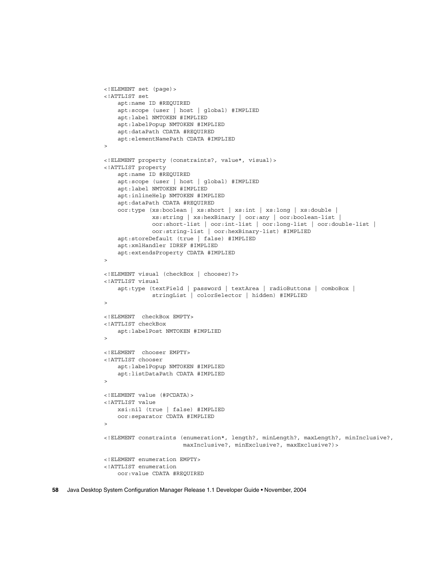```
<!ELEMENT set (page)>
<!ATTLIST set
    apt:name ID #REQUIRED
    apt:scope (user | host | global) #IMPLIED
    apt:label NMTOKEN #IMPLIED
    apt:labelPopup NMTOKEN #IMPLIED
    apt:dataPath CDATA #REQUIRED
    apt:elementNamePath CDATA #IMPLIED
\sim<!ELEMENT property (constraints?, value*, visual)>
<!ATTLIST property
    apt:name ID #REQUIRED
    apt:scope (user | host | global) #IMPLIED
    apt:label NMTOKEN #IMPLIED
    apt:inlineHelp NMTOKEN #IMPLIED
    apt:dataPath CDATA #REQUIRED
    oor:type (xs:boolean | xs:short | xs:int | xs:long | xs:double |
              xs:string | xs:hexBinary | oor:any | oor:boolean-list |
              oor:short-list | oor:int-list | oor:long-list | oor:double-list |
              oor:string-list | oor:hexBinary-list) #IMPLIED
    apt:storeDefault (true | false) #IMPLIED
    apt:xmlHandler IDREF #IMPLIED
    apt:extendsProperty CDATA #IMPLIED
\overline{\phantom{a}}<!ELEMENT visual (checkBox | chooser)?>
<!ATTLIST visual
    apt:type (textField | password | textArea | radioButtons | comboBox |
              stringList | colorSelector | hidden) #IMPLIED
>
<!ELEMENT checkBox EMPTY>
<!ATTLIST checkBox
    apt:labelPost NMTOKEN #IMPLIED
>
<!ELEMENT chooser EMPTY>
<!ATTLIST chooser
   apt:labelPopup NMTOKEN #IMPLIED
    apt:listDataPath CDATA #IMPLIED
>
<!ELEMENT value (#PCDATA)>
<!ATTLIST value
    xsi:nil (true | false) #IMPLIED
    oor:separator CDATA #IMPLIED
>
<!ELEMENT constraints (enumeration*, length?, minLength?, maxLength?, minInclusive?,
                       maxInclusive?, minExclusive?, maxExclusive?)>
<!ELEMENT enumeration EMPTY>
<!ATTLIST enumeration
    oor:value CDATA #REQUIRED
```

```
58 Java Desktop System Configuration Manager Release 1.1 Developer Guide • November, 2004
```